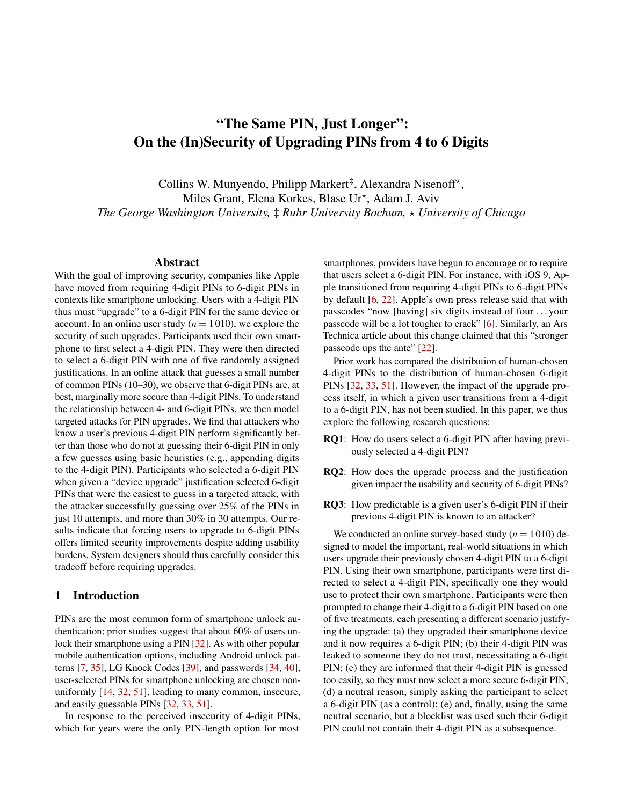# "The Same PIN, Just Longer": On the (In)Security of Upgrading PINs from 4 to 6 Digits

Collins W. Munyendo, Philipp Markert<sup>‡</sup>, Alexandra Nisenoff<sup>\*</sup>, Miles Grant, Elena Korkes, Blase Ur<sup>\*</sup>, Adam J. Aviv *The George Washington University,* ‡ *Ruhr University Bochum,* ? *University of Chicago*

### Abstract

With the goal of improving security, companies like Apple have moved from requiring 4-digit PINs to 6-digit PINs in contexts like smartphone unlocking. Users with a 4-digit PIN thus must "upgrade" to a 6-digit PIN for the same device or account. In an online user study  $(n = 1010)$ , we explore the security of such upgrades. Participants used their own smartphone to first select a 4-digit PIN. They were then directed to select a 6-digit PIN with one of five randomly assigned justifications. In an online attack that guesses a small number of common PINs (10–30), we observe that 6-digit PINs are, at best, marginally more secure than 4-digit PINs. To understand the relationship between 4- and 6-digit PINs, we then model targeted attacks for PIN upgrades. We find that attackers who know a user's previous 4-digit PIN perform significantly better than those who do not at guessing their 6-digit PIN in only a few guesses using basic heuristics (e.g., appending digits to the 4-digit PIN). Participants who selected a 6-digit PIN when given a "device upgrade" justification selected 6-digit PINs that were the easiest to guess in a targeted attack, with the attacker successfully guessing over 25% of the PINs in just 10 attempts, and more than 30% in 30 attempts. Our results indicate that forcing users to upgrade to 6-digit PINs offers limited security improvements despite adding usability burdens. System designers should thus carefully consider this tradeoff before requiring upgrades.

### 1 Introduction

PINs are the most common form of smartphone unlock authentication; prior studies suggest that about 60% of users un-lock their smartphone using a PIN [\[32\]](#page-14-0). As with other popular mobile authentication options, including Android unlock patterns [\[7,](#page-13-0) [35\]](#page-15-0), LG Knock Codes [\[39\]](#page-15-1), and passwords [\[34,](#page-15-2) [40\]](#page-15-3), user-selected PINs for smartphone unlocking are chosen nonuniformly [\[14,](#page-14-1) [32,](#page-14-0) [51\]](#page-15-4), leading to many common, insecure, and easily guessable PINs [\[32,](#page-14-0) [33,](#page-15-5) [51\]](#page-15-4).

In response to the perceived insecurity of 4-digit PINs, which for years were the only PIN-length option for most

smartphones, providers have begun to encourage or to require that users select a 6-digit PIN. For instance, with iOS 9, Apple transitioned from requiring 4-digit PINs to 6-digit PINs by default [\[6,](#page-13-1) [22\]](#page-14-2). Apple's own press release said that with passcodes "now [having] six digits instead of four . . . your passcode will be a lot tougher to crack" [\[6\]](#page-13-1). Similarly, an Ars Technica article about this change claimed that this "stronger passcode ups the ante" [\[22\]](#page-14-2).

Prior work has compared the distribution of human-chosen 4-digit PINs to the distribution of human-chosen 6-digit PINs [\[32,](#page-14-0) [33,](#page-15-5) [51\]](#page-15-4). However, the impact of the upgrade process itself, in which a given user transitions from a 4-digit to a 6-digit PIN, has not been studied. In this paper, we thus explore the following research questions:

- RQ1: How do users select a 6-digit PIN after having previously selected a 4-digit PIN?
- RQ2: How does the upgrade process and the justification given impact the usability and security of 6-digit PINs?
- RQ3: How predictable is a given user's 6-digit PIN if their previous 4-digit PIN is known to an attacker?

We conducted an online survey-based study  $(n = 1010)$  designed to model the important, real-world situations in which users upgrade their previously chosen 4-digit PIN to a 6-digit PIN. Using their own smartphone, participants were first directed to select a 4-digit PIN, specifically one they would use to protect their own smartphone. Participants were then prompted to change their 4-digit to a 6-digit PIN based on one of five treatments, each presenting a different scenario justifying the upgrade: (a) they upgraded their smartphone device and it now requires a 6-digit PIN; (b) their 4-digit PIN was leaked to someone they do not trust, necessitating a 6-digit PIN; (c) they are informed that their 4-digit PIN is guessed too easily, so they must now select a more secure 6-digit PIN; (d) a neutral reason, simply asking the participant to select a 6-digit PIN (as a control); (e) and, finally, using the same neutral scenario, but a blocklist was used such their 6-digit PIN could not contain their 4-digit PIN as a subsequence.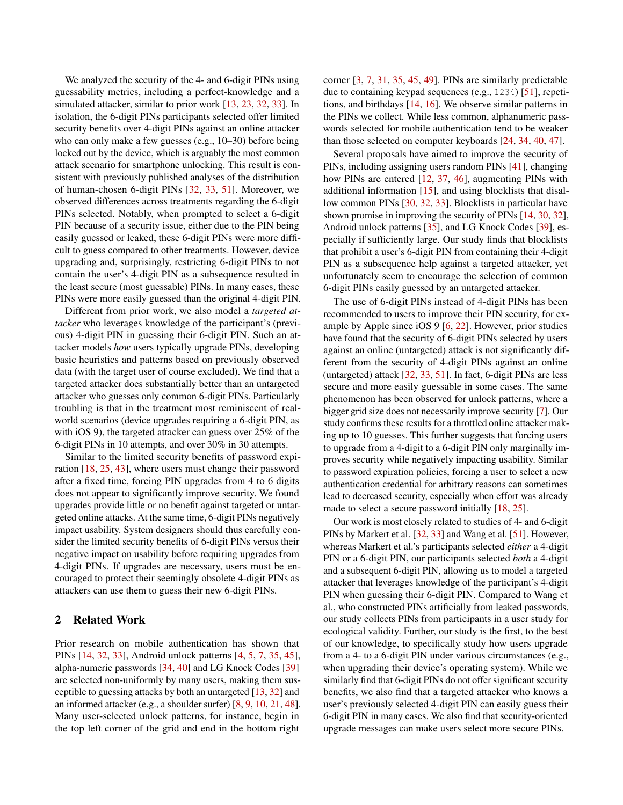We analyzed the security of the 4- and 6-digit PINs using guessability metrics, including a perfect-knowledge and a simulated attacker, similar to prior work [\[13,](#page-14-3) [23,](#page-14-4) [32,](#page-14-0) [33\]](#page-15-5). In isolation, the 6-digit PINs participants selected offer limited security benefits over 4-digit PINs against an online attacker who can only make a few guesses (e.g., 10–30) before being locked out by the device, which is arguably the most common attack scenario for smartphone unlocking. This result is consistent with previously published analyses of the distribution of human-chosen 6-digit PINs [\[32,](#page-14-0) [33,](#page-15-5) [51\]](#page-15-4). Moreover, we observed differences across treatments regarding the 6-digit PINs selected. Notably, when prompted to select a 6-digit PIN because of a security issue, either due to the PIN being easily guessed or leaked, these 6-digit PINs were more difficult to guess compared to other treatments. However, device upgrading and, surprisingly, restricting 6-digit PINs to not contain the user's 4-digit PIN as a subsequence resulted in the least secure (most guessable) PINs. In many cases, these PINs were more easily guessed than the original 4-digit PIN.

Different from prior work, we also model a *targeted attacker* who leverages knowledge of the participant's (previous) 4-digit PIN in guessing their 6-digit PIN. Such an attacker models *how* users typically upgrade PINs, developing basic heuristics and patterns based on previously observed data (with the target user of course excluded). We find that a targeted attacker does substantially better than an untargeted attacker who guesses only common 6-digit PINs. Particularly troubling is that in the treatment most reminiscent of realworld scenarios (device upgrades requiring a 6-digit PIN, as with iOS 9), the targeted attacker can guess over 25% of the 6-digit PINs in 10 attempts, and over 30% in 30 attempts.

Similar to the limited security benefits of password expiration [\[18,](#page-14-5) [25,](#page-14-6) [43\]](#page-15-6), where users must change their password after a fixed time, forcing PIN upgrades from 4 to 6 digits does not appear to significantly improve security. We found upgrades provide little or no benefit against targeted or untargeted online attacks. At the same time, 6-digit PINs negatively impact usability. System designers should thus carefully consider the limited security benefits of 6-digit PINs versus their negative impact on usability before requiring upgrades from 4-digit PINs. If upgrades are necessary, users must be encouraged to protect their seemingly obsolete 4-digit PINs as attackers can use them to guess their new 6-digit PINs.

### 2 Related Work

Prior research on mobile authentication has shown that PINs [\[14,](#page-14-1) [32,](#page-14-0) [33\]](#page-15-5), Android unlock patterns [\[4,](#page-13-2) [5,](#page-13-3) [7,](#page-13-0) [35,](#page-15-0) [45\]](#page-15-7), alpha-numeric passwords [\[34,](#page-15-2) [40\]](#page-15-3) and LG Knock Codes [\[39\]](#page-15-1) are selected non-uniformly by many users, making them susceptible to guessing attacks by both an untargeted [\[13,](#page-14-3) [32\]](#page-14-0) and an informed attacker (e.g., a shoulder surfer) [\[8,](#page-13-4) [9,](#page-14-7) [10,](#page-14-8) [21,](#page-14-9) [48\]](#page-15-8). Many user-selected unlock patterns, for instance, begin in the top left corner of the grid and end in the bottom right

corner [\[3,](#page-13-5) [7,](#page-13-0) [31,](#page-14-10) [35,](#page-15-0) [45,](#page-15-7) [49\]](#page-15-9). PINs are similarly predictable due to containing keypad sequences (e.g., 1234) [\[51\]](#page-15-4), repetitions, and birthdays [\[14,](#page-14-1) [16\]](#page-14-11). We observe similar patterns in the PINs we collect. While less common, alphanumeric passwords selected for mobile authentication tend to be weaker than those selected on computer keyboards [\[24,](#page-14-12) [34,](#page-15-2) [40,](#page-15-3) [47\]](#page-15-10).

Several proposals have aimed to improve the security of PINs, including assigning users random PINs [\[41\]](#page-15-11), changing how PINs are entered [\[12,](#page-14-13) [37,](#page-15-12) [46\]](#page-15-13), augmenting PINs with additional information [\[15\]](#page-14-14), and using blocklists that disallow common PINs [\[30,](#page-14-15) [32,](#page-14-0) [33\]](#page-15-5). Blocklists in particular have shown promise in improving the security of PINs [\[14,](#page-14-1) [30,](#page-14-15) [32\]](#page-14-0), Android unlock patterns [\[35\]](#page-15-0), and LG Knock Codes [\[39\]](#page-15-1), especially if sufficiently large. Our study finds that blocklists that prohibit a user's 6-digit PIN from containing their 4-digit PIN as a subsequence help against a targeted attacker, yet unfortunately seem to encourage the selection of common 6-digit PINs easily guessed by an untargeted attacker.

The use of 6-digit PINs instead of 4-digit PINs has been recommended to users to improve their PIN security, for example by Apple since iOS 9 [\[6,](#page-13-1) [22\]](#page-14-2). However, prior studies have found that the security of 6-digit PINs selected by users against an online (untargeted) attack is not significantly different from the security of 4-digit PINs against an online (untargeted) attack [\[32,](#page-14-0) [33,](#page-15-5) [51\]](#page-15-4). In fact, 6-digit PINs are less secure and more easily guessable in some cases. The same phenomenon has been observed for unlock patterns, where a bigger grid size does not necessarily improve security [\[7\]](#page-13-0). Our study confirms these results for a throttled online attacker making up to 10 guesses. This further suggests that forcing users to upgrade from a 4-digit to a 6-digit PIN only marginally improves security while negatively impacting usability. Similar to password expiration policies, forcing a user to select a new authentication credential for arbitrary reasons can sometimes lead to decreased security, especially when effort was already made to select a secure password initially [\[18,](#page-14-5) [25\]](#page-14-6).

Our work is most closely related to studies of 4- and 6-digit PINs by Markert et al. [\[32,](#page-14-0) [33\]](#page-15-5) and Wang et al. [\[51\]](#page-15-4). However, whereas Markert et al.'s participants selected *either* a 4-digit PIN or a 6-digit PIN, our participants selected *both* a 4-digit and a subsequent 6-digit PIN, allowing us to model a targeted attacker that leverages knowledge of the participant's 4-digit PIN when guessing their 6-digit PIN. Compared to Wang et al., who constructed PINs artificially from leaked passwords, our study collects PINs from participants in a user study for ecological validity. Further, our study is the first, to the best of our knowledge, to specifically study how users upgrade from a 4- to a 6-digit PIN under various circumstances (e.g., when upgrading their device's operating system). While we similarly find that 6-digit PINs do not offer significant security benefits, we also find that a targeted attacker who knows a user's previously selected 4-digit PIN can easily guess their 6-digit PIN in many cases. We also find that security-oriented upgrade messages can make users select more secure PINs.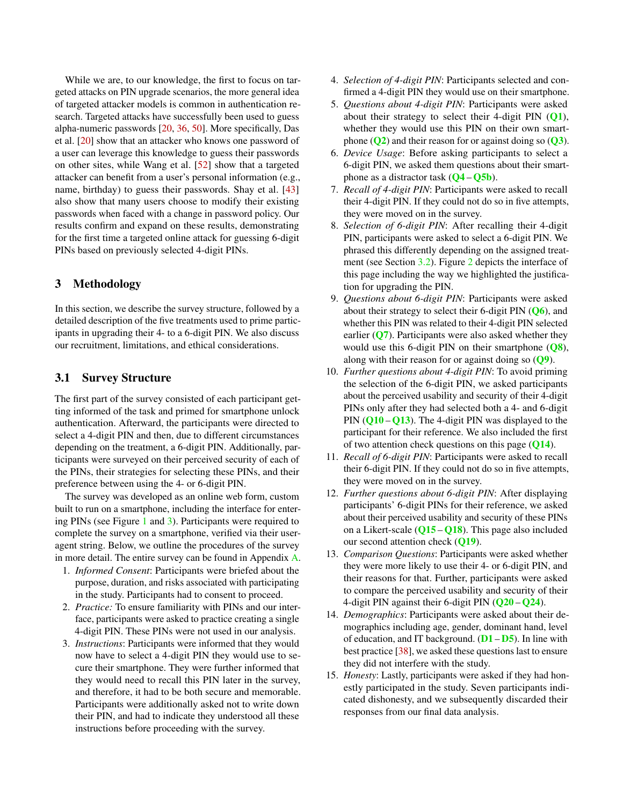While we are, to our knowledge, the first to focus on targeted attacks on PIN upgrade scenarios, the more general idea of targeted attacker models is common in authentication research. Targeted attacks have successfully been used to guess alpha-numeric passwords [\[20,](#page-14-16) [36,](#page-15-14) [50\]](#page-15-15). More specifically, Das et al. [\[20\]](#page-14-16) show that an attacker who knows one password of a user can leverage this knowledge to guess their passwords on other sites, while Wang et al. [\[52\]](#page-15-16) show that a targeted attacker can benefit from a user's personal information (e.g., name, birthday) to guess their passwords. Shay et al. [\[43\]](#page-15-6) also show that many users choose to modify their existing passwords when faced with a change in password policy. Our results confirm and expand on these results, demonstrating for the first time a targeted online attack for guessing 6-digit PINs based on previously selected 4-digit PINs.

# 3 Methodology

In this section, we describe the survey structure, followed by a detailed description of the five treatments used to prime participants in upgrading their 4- to a 6-digit PIN. We also discuss our recruitment, limitations, and ethical considerations.

### <span id="page-2-1"></span>3.1 Survey Structure

The first part of the survey consisted of each participant getting informed of the task and primed for smartphone unlock authentication. Afterward, the participants were directed to select a 4-digit PIN and then, due to different circumstances depending on the treatment, a 6-digit PIN. Additionally, participants were surveyed on their perceived security of each of the PINs, their strategies for selecting these PINs, and their preference between using the 4- or 6-digit PIN.

The survey was developed as an online web form, custom built to run on a smartphone, including the interface for entering PINs (see Figure [1](#page-3-0) and [3\)](#page-3-0). Participants were required to complete the survey on a smartphone, verified via their useragent string. Below, we outline the procedures of the survey in more detail. The entire survey can be found in Appendix [A.](#page-15-17)

- 1. *Informed Consent*: Participants were briefed about the purpose, duration, and risks associated with participating in the study. Participants had to consent to proceed.
- 2. *Practice:* To ensure familiarity with PINs and our interface, participants were asked to practice creating a single 4-digit PIN. These PINs were not used in our analysis.
- 3. *Instructions*: Participants were informed that they would now have to select a 4-digit PIN they would use to secure their smartphone. They were further informed that they would need to recall this PIN later in the survey, and therefore, it had to be both secure and memorable. Participants were additionally asked not to write down their PIN, and had to indicate they understood all these instructions before proceeding with the survey.
- 4. *Selection of 4-digit PIN*: Participants selected and confirmed a 4-digit PIN they would use on their smartphone.
- 5. *Questions about 4-digit PIN*: Participants were asked about their strategy to select their 4-digit PIN  $(Q1)$  $(Q1)$  $(Q1)$ , whether they would use this PIN on their own smartphone  $(Q2)$  $(Q2)$  $(Q2)$  and their reason for or against doing so  $(Q3)$  $(Q3)$  $(Q3)$ .
- 6. *Device Usage*: Before asking participants to select a 6-digit PIN, we asked them questions about their smartphone as a distractor task  $(Q4 - Q5b)$  $(Q4 - Q5b)$  $(Q4 - Q5b)$  $(Q4 - Q5b)$  $(Q4 - Q5b)$ .
- 7. *Recall of 4-digit PIN*: Participants were asked to recall their 4-digit PIN. If they could not do so in five attempts, they were moved on in the survey.
- 8. *Selection of 6-digit PIN*: After recalling their 4-digit PIN, participants were asked to select a 6-digit PIN. We phrased this differently depending on the assigned treatment (see Section [3.2\)](#page-2-0). Figure [2](#page-3-0) depicts the interface of this page including the way we highlighted the justification for upgrading the PIN.
- 9. *Questions about 6-digit PIN*: Participants were asked about their strategy to select their 6-digit PIN  $(Q_6)$ , and whether this PIN was related to their 4-digit PIN selected earlier  $(Q7)$  $(Q7)$  $(Q7)$ . Participants were also asked whether they would use this 6-digit PIN on their smartphone  $(Q8)$  $(Q8)$  $(Q8)$ , along with their reason for or against doing so  $(Q<sup>9</sup>)$ .
- 10. *Further questions about 4-digit PIN*: To avoid priming the selection of the 6-digit PIN, we asked participants about the perceived usability and security of their 4-digit PINs only after they had selected both a 4- and 6-digit PIN  $(Q10 - Q13)$  $(Q10 - Q13)$  $(Q10 - Q13)$  $(Q10 - Q13)$  $(Q10 - Q13)$ . The 4-digit PIN was displayed to the participant for their reference. We also included the first of two attention check questions on this page  $(Q14)$  $(Q14)$  $(Q14)$ .
- 11. *Recall of 6-digit PIN*: Participants were asked to recall their 6-digit PIN. If they could not do so in five attempts, they were moved on in the survey.
- 12. *Further questions about 6-digit PIN*: After displaying participants' 6-digit PINs for their reference, we asked about their perceived usability and security of these PINs on a Likert-scale  $(Q15 - Q18)$  $(Q15 - Q18)$  $(Q15 - Q18)$  $(Q15 - Q18)$  $(Q15 - Q18)$ . This page also included our second attention check ([Q19](#page-16-14)).
- 13. *Comparison Questions*: Participants were asked whether they were more likely to use their 4- or 6-digit PIN, and their reasons for that. Further, participants were asked to compare the perceived usability and security of their 4-digit PIN against their 6-digit PIN  $(Q20 - Q24)$  $(Q20 - Q24)$  $(Q20 - Q24)$  $(Q20 - Q24)$  $(Q20 - Q24)$ .
- 14. *Demographics*: Participants were asked about their demographics including age, gender, dominant hand, level of education, and IT background.  $(D1 - D5)$  $(D1 - D5)$  $(D1 - D5)$  $(D1 - D5)$  $(D1 - D5)$ . In line with best practice [\[38\]](#page-15-18), we asked these questions last to ensure they did not interfere with the study.
- <span id="page-2-0"></span>15. *Honesty*: Lastly, participants were asked if they had honestly participated in the study. Seven participants indicated dishonesty, and we subsequently discarded their responses from our final data analysis.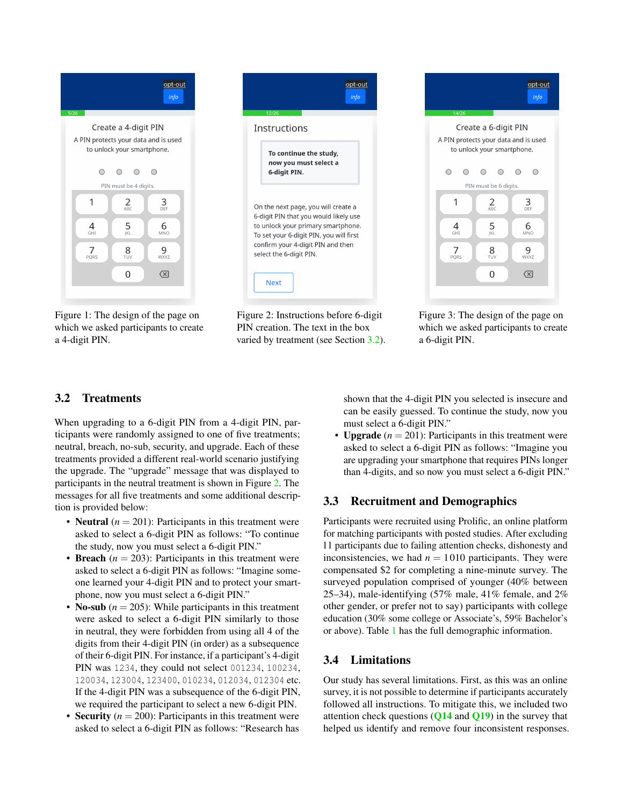<span id="page-3-0"></span>

opt-out  $info$ Instructions To continue the study, now you must select a 6-digit PIN. On the next page, you will create a 6-digit PIN that you would likely use to unlock your primary smartphone. To set your 6-digit PIN, you will first confirm your 4-digit PIN and then select the 6-digit PIN. **Next** 

Figure 1: The design of the page on which we asked participants to create a 4-digit PIN.

Figure 2: Instructions before 6-digit PIN creation. The text in the box varied by treatment (see Section [3.2\)](#page-2-0).



Figure 3: The design of the page on which we asked participants to create a 6-digit PIN.

# 3.2 Treatments

When upgrading to a 6-digit PIN from a 4-digit PIN, participants were randomly assigned to one of five treatments; neutral, breach, no-sub, security, and upgrade. Each of these treatments provided a different real-world scenario justifying the upgrade. The "upgrade" message that was displayed to participants in the neutral treatment is shown in Figure [2.](#page-3-0) The messages for all five treatments and some additional description is provided below:

- **Neutral**  $(n = 201)$ : Participants in this treatment were asked to select a 6-digit PIN as follows: "To continue the study, now you must select a 6-digit PIN."
- Breach  $(n = 203)$ : Participants in this treatment were asked to select a 6-digit PIN as follows: "Imagine someone learned your 4-digit PIN and to protect your smartphone, now you must select a 6-digit PIN."
- **No-sub**  $(n = 205)$ : While participants in this treatment were asked to select a 6-digit PIN similarly to those in neutral, they were forbidden from using all 4 of the digits from their 4-digit PIN (in order) as a subsequence of their 6-digit PIN. For instance, if a participant's 4-digit PIN was 1234, they could not select 001234, 100234, 120034, 123004, 123400, 010234, 012034, 012304 etc. If the 4-digit PIN was a subsequence of the 6-digit PIN, we required the participant to select a new 6-digit PIN.
- **Security**  $(n = 200)$ : Participants in this treatment were asked to select a 6-digit PIN as follows: "Research has

shown that the 4-digit PIN you selected is insecure and can be easily guessed. To continue the study, now you must select a 6-digit PIN."

• **Upgrade**  $(n = 201)$ : Participants in this treatment were asked to select a 6-digit PIN as follows: "Imagine you are upgrading your smartphone that requires PINs longer than 4-digits, and so now you must select a 6-digit PIN."

# 3.3 Recruitment and Demographics

Participants were recruited using Prolific, an online platform for matching participants with posted studies. After excluding 11 participants due to failing attention checks, dishonesty and inconsistencies, we had  $n = 1010$  participants. They were compensated \$2 for completing a nine-minute survey. The surveyed population comprised of younger (40% between 25–34), male-identifying (57% male, 41% female, and 2% other gender, or prefer not to say) participants with college education (30% some college or Associate's, 59% Bachelor's or above). Table [1](#page-4-0) has the full demographic information.

# 3.4 Limitations

Our study has several limitations. First, as this was an online survey, it is not possible to determine if participants accurately followed all instructions. To mitigate this, we included two attention check questions  $(Q14 \text{ and } Q19)$  $(Q14 \text{ and } Q19)$  $(Q14 \text{ and } Q19)$  $(Q14 \text{ and } Q19)$  $(Q14 \text{ and } Q19)$  in the survey that helped us identify and remove four inconsistent responses.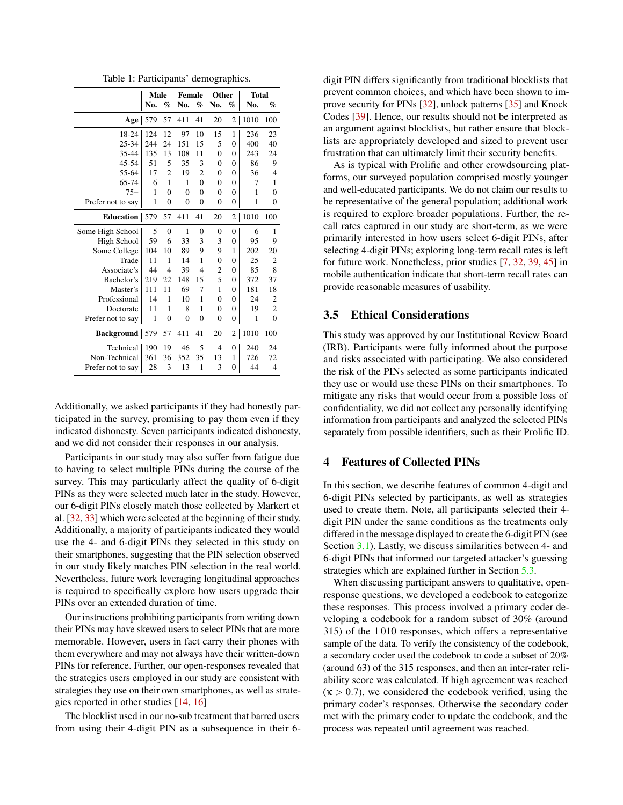Table 1: Participants' demographics.

<span id="page-4-0"></span>

|                       | Male |                | <b>Female</b>  |                | Other          |                  | <b>Total</b> |                |  |
|-----------------------|------|----------------|----------------|----------------|----------------|------------------|--------------|----------------|--|
|                       | No.  | $\%$           | No.            | $\%$           | No.            | %                | No.          | $\%$           |  |
| Age                   | 579  | 57             | 411            | 41             | 20             | $\overline{2}$   | 1010         | 100            |  |
| 18-24                 | 124  | 12             | 97             | 10             | 15             | 1                | 236          | 23             |  |
| 25-34                 | 244  | 24             | 151            | 15             | 5              | $\overline{0}$   | 400          | 40             |  |
| 35-44                 | 135  | 13             | 108            | 11             | $\overline{0}$ | $\overline{0}$   | 243          | 24             |  |
| $45 - 54$             | 51   | 5              | 35             | 3              | $\overline{0}$ | $\overline{0}$   | 86           | 9              |  |
| 55-64                 | 17   | $\overline{2}$ | 19             | $\overline{2}$ | $\overline{0}$ | $\overline{0}$   | 36           | 4              |  |
| 65-74                 | 6    | 1              | 1              | $\theta$       | $\overline{0}$ | $\overline{0}$   | 7            | 1              |  |
| $75+$                 | 1    | $\theta$       | $\theta$       | $\theta$       | $\overline{0}$ | $\overline{0}$   | $\mathbf{1}$ | $\overline{0}$ |  |
| Prefer not to say     | 1    | $\overline{0}$ | $\overline{0}$ | $\overline{0}$ | $\overline{0}$ | $\overline{0}$   | $\mathbf{1}$ | $\overline{0}$ |  |
| <b>Education</b>      | 579  | 57             | 411            | 41             | 20             | 2                | 1010         | 100            |  |
| Some High School      | 5    | $\overline{0}$ | 1              | $\overline{0}$ | $\overline{0}$ | $\boldsymbol{0}$ | 6            | 1              |  |
| High School           | 59   | 6              | 33             | 3              | 3              | $\overline{0}$   | 95           | 9              |  |
| Some College          | 104  | 10             | 89             | 9              | 9              | 1                | 202          | 20             |  |
| Trade                 | 11   | 1              | 14             | 1              | $\overline{0}$ | $\overline{0}$   | 25           | $\overline{2}$ |  |
| Associate's           | 44   | $\overline{4}$ | 39             | 4              | 2              | $\overline{0}$   | 85           | 8              |  |
| Bachelor's            | 219  | 22             | 148            | 15             | 5              | $\overline{0}$   | 372          | 37             |  |
| Master's              | 111  | 11             | 69             | 7              | 1              | $\overline{0}$   | 181          | 18             |  |
| Professional          | 14   | 1              | 10             | 1              | $\overline{0}$ | $\overline{0}$   | 24           | $\overline{2}$ |  |
| Doctorate             | 11   | 1              | 8              | 1              | $\overline{0}$ | $\overline{0}$   | 19           | $\overline{2}$ |  |
| Prefer not to say     | 1    | $\overline{0}$ | $\overline{0}$ | $\overline{0}$ | $\overline{0}$ | $\overline{0}$   | $\mathbf{1}$ | $\mathbf{0}$   |  |
| <b>Background</b> 579 |      | 57             | 411            | 41             | 20             | $\overline{2}$   | 1010         | 100            |  |
| Technical             | 190  | 19             | 46             | 5              | 4              | $\overline{0}$   | 240          | 24             |  |
| Non-Technical         | 361  | 36             | 352            | 35             | 13             | 1                | 726          | 72             |  |
| Prefer not to say     | 28   | 3              | 13             | $\mathbf{1}$   | 3              | $\overline{0}$   | 44           | 4              |  |

Additionally, we asked participants if they had honestly participated in the survey, promising to pay them even if they indicated dishonesty. Seven participants indicated dishonesty, and we did not consider their responses in our analysis.

Participants in our study may also suffer from fatigue due to having to select multiple PINs during the course of the survey. This may particularly affect the quality of 6-digit PINs as they were selected much later in the study. However, our 6-digit PINs closely match those collected by Markert et al. [\[32,](#page-14-0) [33\]](#page-15-5) which were selected at the beginning of their study. Additionally, a majority of participants indicated they would use the 4- and 6-digit PINs they selected in this study on their smartphones, suggesting that the PIN selection observed in our study likely matches PIN selection in the real world. Nevertheless, future work leveraging longitudinal approaches is required to specifically explore how users upgrade their PINs over an extended duration of time.

Our instructions prohibiting participants from writing down their PINs may have skewed users to select PINs that are more memorable. However, users in fact carry their phones with them everywhere and may not always have their written-down PINs for reference. Further, our open-responses revealed that the strategies users employed in our study are consistent with strategies they use on their own smartphones, as well as strategies reported in other studies [\[14,](#page-14-1) [16\]](#page-14-11)

The blocklist used in our no-sub treatment that barred users from using their 4-digit PIN as a subsequence in their 6-

digit PIN differs significantly from traditional blocklists that prevent common choices, and which have been shown to improve security for PINs [\[32\]](#page-14-0), unlock patterns [\[35\]](#page-15-0) and Knock Codes [\[39\]](#page-15-1). Hence, our results should not be interpreted as an argument against blocklists, but rather ensure that blocklists are appropriately developed and sized to prevent user frustration that can ultimately limit their security benefits.

As is typical with Prolific and other crowdsourcing platforms, our surveyed population comprised mostly younger and well-educated participants. We do not claim our results to be representative of the general population; additional work is required to explore broader populations. Further, the recall rates captured in our study are short-term, as we were primarily interested in how users select 6-digit PINs, after selecting 4-digit PINs; exploring long-term recall rates is left for future work. Nonetheless, prior studies [\[7,](#page-13-0) [32,](#page-14-0) [39,](#page-15-1) [45\]](#page-15-7) in mobile authentication indicate that short-term recall rates can provide reasonable measures of usability.

### 3.5 Ethical Considerations

This study was approved by our Institutional Review Board (IRB). Participants were fully informed about the purpose and risks associated with participating. We also considered the risk of the PINs selected as some participants indicated they use or would use these PINs on their smartphones. To mitigate any risks that would occur from a possible loss of confidentiality, we did not collect any personally identifying information from participants and analyzed the selected PINs separately from possible identifiers, such as their Prolific ID.

### <span id="page-4-1"></span>4 Features of Collected PINs

In this section, we describe features of common 4-digit and 6-digit PINs selected by participants, as well as strategies used to create them. Note, all participants selected their 4 digit PIN under the same conditions as the treatments only differed in the message displayed to create the 6-digit PIN (see Section [3.1\)](#page-2-1). Lastly, we discuss similarities between 4- and 6-digit PINs that informed our targeted attacker's guessing strategies which are explained further in Section [5.3.](#page-8-0)

When discussing participant answers to qualitative, openresponse questions, we developed a codebook to categorize these responses. This process involved a primary coder developing a codebook for a random subset of 30% (around 315) of the 1 010 responses, which offers a representative sample of the data. To verify the consistency of the codebook, a secondary coder used the codebook to code a subset of 20% (around 63) of the 315 responses, and then an inter-rater reliability score was calculated. If high agreement was reached  $(k > 0.7)$ , we considered the codebook verified, using the primary coder's responses. Otherwise the secondary coder met with the primary coder to update the codebook, and the process was repeated until agreement was reached.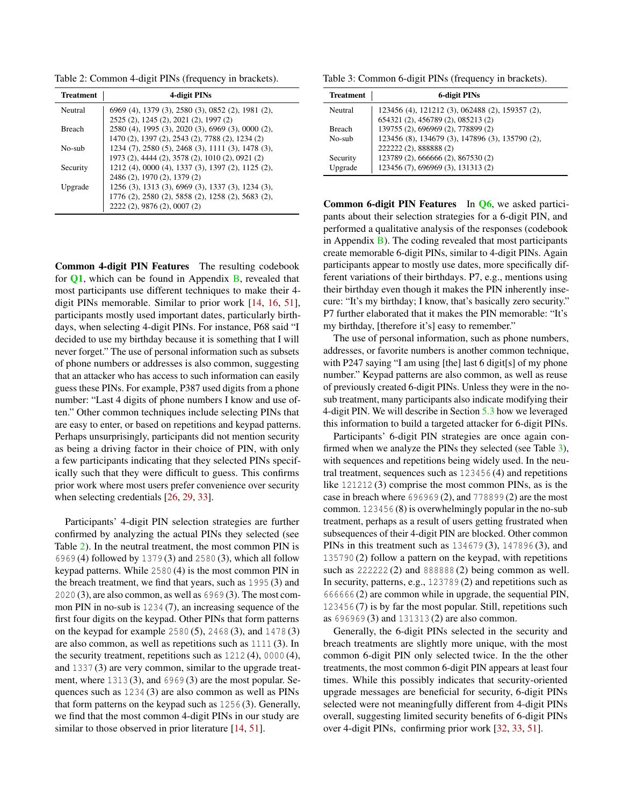<span id="page-5-0"></span>Table 2: Common 4-digit PINs (frequency in brackets).

| <b>Treatment</b> | 4-digit PINs                                      |
|------------------|---------------------------------------------------|
| Neutral          | 6969 (4), 1379 (3), 2580 (3), 0852 (2), 1981 (2), |
|                  | 2525 (2), 1245 (2), 2021 (2), 1997 (2)            |
| <b>Breach</b>    | 2580 (4), 1995 (3), 2020 (3), 6969 (3), 0000 (2), |
|                  | 1470 (2), 1397 (2), 2543 (2), 7788 (2), 1234 (2)  |
| $No-suh$         | 1234 (7), 2580 (5), 2468 (3), 1111 (3), 1478 (3), |
|                  | 1973 (2), 4444 (2), 3578 (2), 1010 (2), 0921 (2)  |
| Security         | 1212 (4), 0000 (4), 1337 (3), 1397 (2), 1125 (2), |
|                  | 2486 (2), 1970 (2), 1379 (2)                      |
| Upgrade          | 1256 (3), 1313 (3), 6969 (3), 1337 (3), 1234 (3), |
|                  | 1776 (2), 2580 (2), 5858 (2), 1258 (2), 5683 (2), |
|                  | 2222 (2), 9876 (2), 0007 (2)                      |

Common 4-digit PIN Features The resulting codebook for [Q1](#page-16-0), which can be found in Appendix [B,](#page-17-3) revealed that most participants use different techniques to make their 4 digit PINs memorable. Similar to prior work [\[14,](#page-14-1) [16,](#page-14-11) [51\]](#page-15-4), participants mostly used important dates, particularly birthdays, when selecting 4-digit PINs. For instance, P68 said "I decided to use my birthday because it is something that I will never forget." The use of personal information such as subsets of phone numbers or addresses is also common, suggesting that an attacker who has access to such information can easily guess these PINs. For example, P387 used digits from a phone number: "Last 4 digits of phone numbers I know and use often." Other common techniques include selecting PINs that are easy to enter, or based on repetitions and keypad patterns. Perhaps unsurprisingly, participants did not mention security as being a driving factor in their choice of PIN, with only a few participants indicating that they selected PINs specifically such that they were difficult to guess. This confirms prior work where most users prefer convenience over security when selecting credentials [\[26,](#page-14-17) [29,](#page-14-18) [33\]](#page-15-5).

Participants' 4-digit PIN selection strategies are further confirmed by analyzing the actual PINs they selected (see Table [2\)](#page-5-0). In the neutral treatment, the most common PIN is 6969 (4) followed by 1379 (3) and 2580 (3), which all follow keypad patterns. While 2580 (4) is the most common PIN in the breach treatment, we find that years, such as 1995 (3) and 2020 (3), are also common, as well as 6969 (3). The most common PIN in no-sub is 1234 (7), an increasing sequence of the first four digits on the keypad. Other PINs that form patterns on the keypad for example 2580 (5), 2468 (3), and 1478 (3) are also common, as well as repetitions such as 1111 (3). In the security treatment, repetitions such as 1212 (4), 0000 (4), and 1337 (3) are very common, similar to the upgrade treatment, where 1313 (3), and 6969 (3) are the most popular. Sequences such as 1234 (3) are also common as well as PINs that form patterns on the keypad such as 1256 (3). Generally, we find that the most common 4-digit PINs in our study are similar to those observed in prior literature [\[14,](#page-14-1) [51\]](#page-15-4).

<span id="page-5-1"></span>Table 3: Common 6-digit PINs (frequency in brackets).

| <b>Treatment</b> | 6-digit PINs                                    |
|------------------|-------------------------------------------------|
| Neutral          | 123456 (4), 121212 (3), 062488 (2), 159357 (2), |
|                  | 654321 (2), 456789 (2), 085213 (2)              |
| <b>Breach</b>    | 139755 (2), 696969 (2), 778899 (2)              |
| No-sub           | 123456 (8), 134679 (3), 147896 (3), 135790 (2), |
|                  | 222222 (2), 888888 (2)                          |
| Security         | 123789 (2), 666666 (2), 867530 (2)              |
| Upgrade          | 123456 (7), 696969 (3), 131313 (2)              |

Common 6-digit PIN Features In [Q6](#page-16-5), we asked participants about their selection strategies for a 6-digit PIN, and performed a qualitative analysis of the responses (codebook in Appendix  $\bf{B}$ ). The coding revealed that most participants create memorable 6-digit PINs, similar to 4-digit PINs. Again participants appear to mostly use dates, more specifically different variations of their birthdays. P7, e.g., mentions using their birthday even though it makes the PIN inherently insecure: "It's my birthday; I know, that's basically zero security." P7 further elaborated that it makes the PIN memorable: "It's my birthday, [therefore it's] easy to remember."

The use of personal information, such as phone numbers, addresses, or favorite numbers is another common technique, with P247 saying "I am using [the] last 6 digit[s] of my phone number." Keypad patterns are also common, as well as reuse of previously created 6-digit PINs. Unless they were in the nosub treatment, many participants also indicate modifying their 4-digit PIN. We will describe in Section [5.3](#page-8-0) how we leveraged this information to build a targeted attacker for 6-digit PINs.

Participants' 6-digit PIN strategies are once again con-firmed when we analyze the PINs they selected (see Table [3\)](#page-5-1), with sequences and repetitions being widely used. In the neutral treatment, sequences such as 123456 (4) and repetitions like 121212 (3) comprise the most common PINs, as is the case in breach where 696969 (2), and 778899 (2) are the most common. 123456 (8) is overwhelmingly popular in the no-sub treatment, perhaps as a result of users getting frustrated when subsequences of their 4-digit PIN are blocked. Other common PINs in this treatment such as 134679 (3), 147896 (3), and 135790 (2) follow a pattern on the keypad, with repetitions such as 222222 (2) and 888888 (2) being common as well. In security, patterns, e.g., 123789 (2) and repetitions such as 666666 (2) are common while in upgrade, the sequential PIN, 123456 (7) is by far the most popular. Still, repetitions such as 696969 (3) and 131313 (2) are also common.

Generally, the 6-digit PINs selected in the security and breach treatments are slightly more unique, with the most common 6-digit PIN only selected twice. In the the other treatments, the most common 6-digit PIN appears at least four times. While this possibly indicates that security-oriented upgrade messages are beneficial for security, 6-digit PINs selected were not meaningfully different from 4-digit PINs overall, suggesting limited security benefits of 6-digit PINs over 4-digit PINs, confirming prior work [\[32,](#page-14-0) [33,](#page-15-5) [51\]](#page-15-4).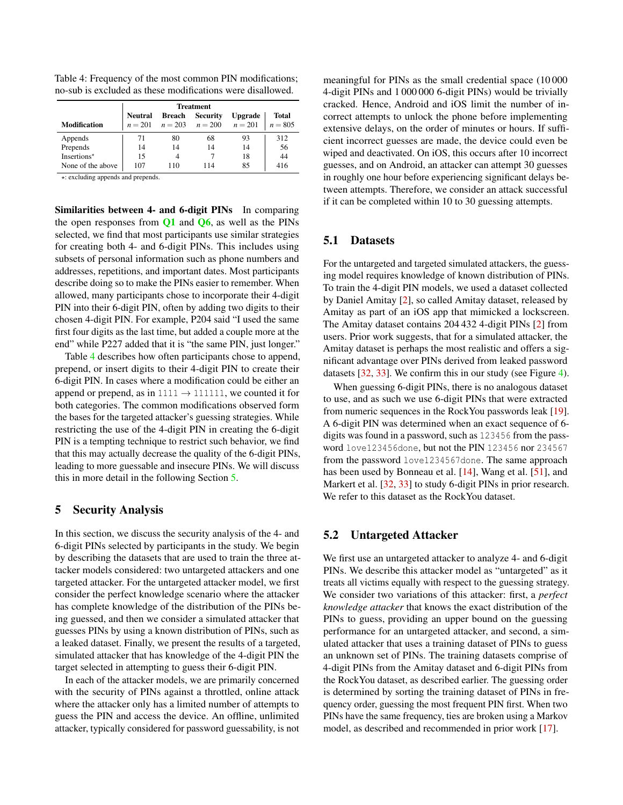|                     | <b>Treatment</b> |               |                                         |                |              |  |  |
|---------------------|------------------|---------------|-----------------------------------------|----------------|--------------|--|--|
|                     | <b>Neutral</b>   | <b>Breach</b> | <b>Security</b>                         | <b>Upgrade</b> | <b>Total</b> |  |  |
| <b>Modification</b> |                  |               | $n = 201$ $n = 203$ $n = 200$ $n = 201$ |                | $n = 805$    |  |  |
| Appends             | 71               | 80            | 68                                      | 93             | 312          |  |  |
| Prepends            | 14               | 14            | 14                                      | 14             | 56           |  |  |
| Insertions*         | 15               |               |                                         | 18             | 44           |  |  |
| None of the above   | 107              | 110           | 114                                     | 85             | 416          |  |  |

<span id="page-6-0"></span>Table 4: Frequency of the most common PIN modifications; no-sub is excluded as these modifications were disallowed.

 $\star$ : excluding appends and prepends.

Similarities between 4- and 6-digit PINs In comparing the open responses from  $Q1$  and  $Q6$ , as well as the PINs selected, we find that most participants use similar strategies for creating both 4- and 6-digit PINs. This includes using subsets of personal information such as phone numbers and addresses, repetitions, and important dates. Most participants describe doing so to make the PINs easier to remember. When allowed, many participants chose to incorporate their 4-digit PIN into their 6-digit PIN, often by adding two digits to their chosen 4-digit PIN. For example, P204 said "I used the same first four digits as the last time, but added a couple more at the end" while P227 added that it is "the same PIN, just longer."

Table [4](#page-6-0) describes how often participants chose to append, prepend, or insert digits to their 4-digit PIN to create their 6-digit PIN. In cases where a modification could be either an append or prepend, as in  $1111 \rightarrow 111111$ , we counted it for both categories. The common modifications observed form the bases for the targeted attacker's guessing strategies. While restricting the use of the 4-digit PIN in creating the 6-digit PIN is a tempting technique to restrict such behavior, we find that this may actually decrease the quality of the 6-digit PINs, leading to more guessable and insecure PINs. We will discuss this in more detail in the following Section [5.](#page-6-1)

### <span id="page-6-1"></span>5 Security Analysis

In this section, we discuss the security analysis of the 4- and 6-digit PINs selected by participants in the study. We begin by describing the datasets that are used to train the three attacker models considered: two untargeted attackers and one targeted attacker. For the untargeted attacker model, we first consider the perfect knowledge scenario where the attacker has complete knowledge of the distribution of the PINs being guessed, and then we consider a simulated attacker that guesses PINs by using a known distribution of PINs, such as a leaked dataset. Finally, we present the results of a targeted, simulated attacker that has knowledge of the 4-digit PIN the target selected in attempting to guess their 6-digit PIN.

In each of the attacker models, we are primarily concerned with the security of PINs against a throttled, online attack where the attacker only has a limited number of attempts to guess the PIN and access the device. An offline, unlimited attacker, typically considered for password guessability, is not

meaningful for PINs as the small credential space (10 000 4-digit PINs and 1 000 000 6-digit PINs) would be trivially cracked. Hence, Android and iOS limit the number of incorrect attempts to unlock the phone before implementing extensive delays, on the order of minutes or hours. If sufficient incorrect guesses are made, the device could even be wiped and deactivated. On iOS, this occurs after 10 incorrect guesses, and on Android, an attacker can attempt 30 guesses in roughly one hour before experiencing significant delays between attempts. Therefore, we consider an attack successful if it can be completed within 10 to 30 guessing attempts.

### 5.1 Datasets

For the untargeted and targeted simulated attackers, the guessing model requires knowledge of known distribution of PINs. To train the 4-digit PIN models, we used a dataset collected by Daniel Amitay [\[2\]](#page-13-6), so called Amitay dataset, released by Amitay as part of an iOS app that mimicked a lockscreen. The Amitay dataset contains 204 432 4-digit PINs [\[2\]](#page-13-6) from users. Prior work suggests, that for a simulated attacker, the Amitay dataset is perhaps the most realistic and offers a significant advantage over PINs derived from leaked password datasets [\[32,](#page-14-0) [33\]](#page-15-5). We confirm this in our study (see Figure [4\)](#page-8-1).

When guessing 6-digit PINs, there is no analogous dataset to use, and as such we use 6-digit PINs that were extracted from numeric sequences in the RockYou passwords leak [\[19\]](#page-14-19). A 6-digit PIN was determined when an exact sequence of 6 digits was found in a password, such as 123456 from the password love123456done, but not the PIN 123456 nor 234567 from the password love1234567done. The same approach has been used by Bonneau et al. [\[14\]](#page-14-1), Wang et al. [\[51\]](#page-15-4), and Markert et al. [\[32,](#page-14-0) [33\]](#page-15-5) to study 6-digit PINs in prior research. We refer to this dataset as the RockYou dataset.

### <span id="page-6-2"></span>5.2 Untargeted Attacker

We first use an untargeted attacker to analyze 4- and 6-digit PINs. We describe this attacker model as "untargeted" as it treats all victims equally with respect to the guessing strategy. We consider two variations of this attacker: first, a *perfect knowledge attacker* that knows the exact distribution of the PINs to guess, providing an upper bound on the guessing performance for an untargeted attacker, and second, a simulated attacker that uses a training dataset of PINs to guess an unknown set of PINs. The training datasets comprise of 4-digit PINs from the Amitay dataset and 6-digit PINs from the RockYou dataset, as described earlier. The guessing order is determined by sorting the training dataset of PINs in frequency order, guessing the most frequent PIN first. When two PINs have the same frequency, ties are broken using a Markov model, as described and recommended in prior work [\[17\]](#page-14-20).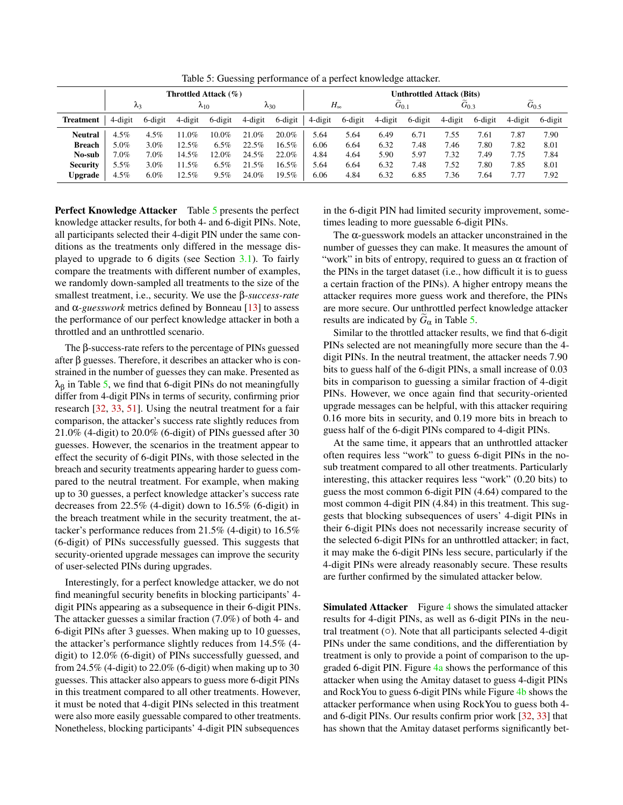Table 5: Guessing performance of a perfect knowledge attacker.

<span id="page-7-0"></span>

|                  | Throttled Attack $(\% )$ |             |                |         |         | <b>Unthrottled Attack (Bits)</b> |         |              |           |         |         |           |         |                   |
|------------------|--------------------------|-------------|----------------|---------|---------|----------------------------------|---------|--------------|-----------|---------|---------|-----------|---------|-------------------|
|                  |                          | $\lambda_3$ | $\lambda_{10}$ |         |         | $\lambda_{30}$                   |         | $H_{\infty}$ | $G_{0.1}$ |         |         | $G_{0.3}$ |         | $\tilde{G}_{0.5}$ |
| <b>Treatment</b> | 4-digit                  | 6-digit     | 4-digit        | 6-digit | 4-digit | 6-digit                          | 4-digit | 6-digit      | 4-digit   | 6-digit | 4-digit | 6-digit   | 4-digit | 6-digit           |
| Neutral          | 4.5%                     | $4.5\%$     | 11.0%          | 10.0%   | 21.0%   | $20.0\%$                         | 5.64    | 5.64         | 6.49      | 6.71    | 7.55    | 7.61      | 7.87    | 7.90              |
| <b>Breach</b>    | 5.0%                     | $3.0\%$     | 12.5%          | 6.5%    | 22.5%   | 16.5%                            | 6.06    | 6.64         | 6.32      | 7.48    | 7.46    | 7.80      | 7.82    | 8.01              |
| No-sub           | $7.0\%$                  | 7.0%        | 14.5%          | 12.0%   | 24.5%   | 22.0%                            | 4.84    | 4.64         | 5.90      | 5.97    | 7.32    | 7.49      | 7.75    | 7.84              |
| <b>Security</b>  | 5.5%                     | $3.0\%$     | 11.5%          | 6.5%    | 21.5%   | 16.5%                            | 5.64    | 6.64         | 6.32      | 7.48    | 7.52    | 7.80      | 7.85    | 8.01              |
| <b>Upgrade</b>   | $4.5\%$                  | $6.0\%$     | 12.5%          | 9.5%    | 24.0%   | 19.5%                            | 6.06    | 4.84         | 6.32      | 6.85    | 7.36    | 7.64      | 7.77    | 7.92              |

Perfect Knowledge Attacker Table [5](#page-7-0) presents the perfect knowledge attacker results, for both 4- and 6-digit PINs. Note, all participants selected their 4-digit PIN under the same conditions as the treatments only differed in the message displayed to upgrade to 6 digits (see Section [3.1\)](#page-2-1). To fairly compare the treatments with different number of examples, we randomly down-sampled all treatments to the size of the smallest treatment, i.e., security. We use the β*-success-rate* and  $\alpha$ -guesswork metrics defined by Bonneau [\[13\]](#page-14-3) to assess the performance of our perfect knowledge attacker in both a throttled and an unthrottled scenario.

The β-success-rate refers to the percentage of PINs guessed after β guesses. Therefore, it describes an attacker who is constrained in the number of guesses they can make. Presented as  $\lambda_{\beta}$  in Table [5,](#page-7-0) we find that 6-digit PINs do not meaningfully differ from 4-digit PINs in terms of security, confirming prior research [\[32,](#page-14-0) [33,](#page-15-5) [51\]](#page-15-4). Using the neutral treatment for a fair comparison, the attacker's success rate slightly reduces from 21.0% (4-digit) to 20.0% (6-digit) of PINs guessed after 30 guesses. However, the scenarios in the treatment appear to effect the security of 6-digit PINs, with those selected in the breach and security treatments appearing harder to guess compared to the neutral treatment. For example, when making up to 30 guesses, a perfect knowledge attacker's success rate decreases from 22.5% (4-digit) down to 16.5% (6-digit) in the breach treatment while in the security treatment, the attacker's performance reduces from 21.5% (4-digit) to 16.5% (6-digit) of PINs successfully guessed. This suggests that security-oriented upgrade messages can improve the security of user-selected PINs during upgrades.

Interestingly, for a perfect knowledge attacker, we do not find meaningful security benefits in blocking participants' 4 digit PINs appearing as a subsequence in their 6-digit PINs. The attacker guesses a similar fraction (7.0%) of both 4- and 6-digit PINs after 3 guesses. When making up to 10 guesses, the attacker's performance slightly reduces from 14.5% (4 digit) to 12.0% (6-digit) of PINs successfully guessed, and from 24.5% (4-digit) to  $22.0\%$  (6-digit) when making up to 30 guesses. This attacker also appears to guess more 6-digit PINs in this treatment compared to all other treatments. However, it must be noted that 4-digit PINs selected in this treatment were also more easily guessable compared to other treatments. Nonetheless, blocking participants' 4-digit PIN subsequences

in the 6-digit PIN had limited security improvement, sometimes leading to more guessable 6-digit PINs.

The  $\alpha$ -guesswork models an attacker unconstrained in the number of guesses they can make. It measures the amount of "work" in bits of entropy, required to guess an  $\alpha$  fraction of the PINs in the target dataset (i.e., how difficult it is to guess a certain fraction of the PINs). A higher entropy means the attacker requires more guess work and therefore, the PINs are more secure. Our unthrottled perfect knowledge attacker results are indicated by  $G_{\alpha}$  in Table [5.](#page-7-0)

Similar to the throttled attacker results, we find that 6-digit PINs selected are not meaningfully more secure than the 4 digit PINs. In the neutral treatment, the attacker needs 7.90 bits to guess half of the 6-digit PINs, a small increase of 0.03 bits in comparison to guessing a similar fraction of 4-digit PINs. However, we once again find that security-oriented upgrade messages can be helpful, with this attacker requiring 0.16 more bits in security, and 0.19 more bits in breach to guess half of the 6-digit PINs compared to 4-digit PINs.

At the same time, it appears that an unthrottled attacker often requires less "work" to guess 6-digit PINs in the nosub treatment compared to all other treatments. Particularly interesting, this attacker requires less "work" (0.20 bits) to guess the most common 6-digit PIN (4.64) compared to the most common 4-digit PIN (4.84) in this treatment. This suggests that blocking subsequences of users' 4-digit PINs in their 6-digit PINs does not necessarily increase security of the selected 6-digit PINs for an unthrottled attacker; in fact, it may make the 6-digit PINs less secure, particularly if the 4-digit PINs were already reasonably secure. These results are further confirmed by the simulated attacker below.

**Simulated Attacker** Figure [4](#page-8-1) shows the simulated attacker results for 4-digit PINs, as well as 6-digit PINs in the neutral treatment (○). Note that all participants selected 4-digit PINs under the same conditions, and the differentiation by treatment is only to provide a point of comparison to the upgraded 6-digit PIN. Figure [4a](#page-8-1) shows the performance of this attacker when using the Amitay dataset to guess 4-digit PINs and RockYou to guess 6-digit PINs while Figure [4b](#page-8-1) shows the attacker performance when using RockYou to guess both 4 and 6-digit PINs. Our results confirm prior work [\[32,](#page-14-0) [33\]](#page-15-5) that has shown that the Amitay dataset performs significantly bet-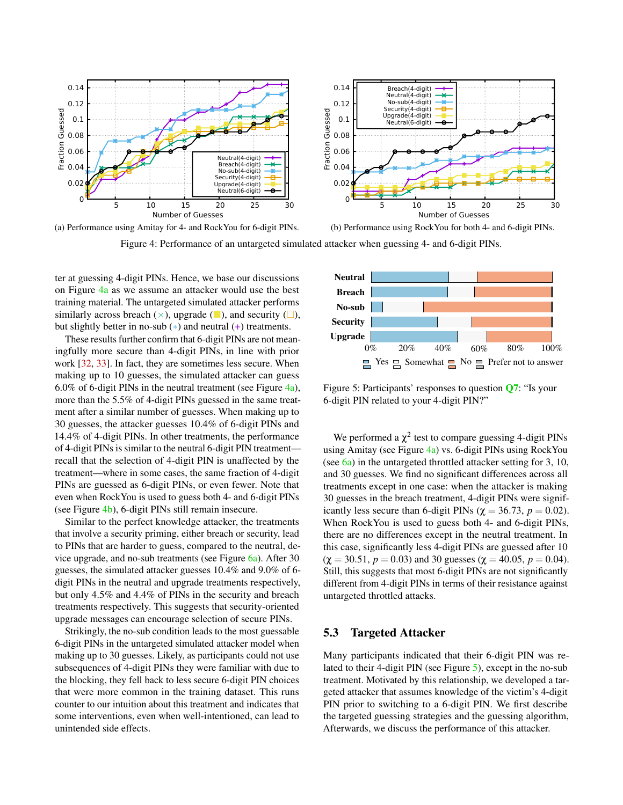<span id="page-8-1"></span>

Figure 4: Performance of an untargeted simulated attacker when guessing 4- and 6-digit PINs.

ter at guessing 4-digit PINs. Hence, we base our discussions on Figure [4a](#page-8-1) as we assume an attacker would use the best training material. The untargeted simulated attacker performs similarly across breach  $(\times)$ , upgrade ( $\Box$ ), and security ( $\Box$ ), but slightly better in no-sub  $(*)$  and neutral  $(+)$  treatments.

These results further confirm that 6-digit PINs are not meaningfully more secure than 4-digit PINs, in line with prior work [\[32,](#page-14-0) [33\]](#page-15-5). In fact, they are sometimes less secure. When making up to 10 guesses, the simulated attacker can guess 6.0% of 6-digit PINs in the neutral treatment (see Figure  $\frac{4a}{a}$ ), more than the 5.5% of 4-digit PINs guessed in the same treatment after a similar number of guesses. When making up to 30 guesses, the attacker guesses 10.4% of 6-digit PINs and 14.4% of 4-digit PINs. In other treatments, the performance of 4-digit PINs is similar to the neutral 6-digit PIN treatment recall that the selection of 4-digit PIN is unaffected by the treatment—where in some cases, the same fraction of 4-digit PINs are guessed as 6-digit PINs, or even fewer. Note that even when RockYou is used to guess both 4- and 6-digit PINs (see Figure [4b\)](#page-8-1), 6-digit PINs still remain insecure.

Similar to the perfect knowledge attacker, the treatments that involve a security priming, either breach or security, lead to PINs that are harder to guess, compared to the neutral, device upgrade, and no-sub treatments (see Figure  $6a$ ). After 30 guesses, the simulated attacker guesses 10.4% and 9.0% of 6 digit PINs in the neutral and upgrade treatments respectively, but only 4.5% and 4.4% of PINs in the security and breach treatments respectively. This suggests that security-oriented upgrade messages can encourage selection of secure PINs.

Strikingly, the no-sub condition leads to the most guessable 6-digit PINs in the untargeted simulated attacker model when making up to 30 guesses. Likely, as participants could not use subsequences of 4-digit PINs they were familiar with due to the blocking, they fell back to less secure 6-digit PIN choices that were more common in the training dataset. This runs counter to our intuition about this treatment and indicates that some interventions, even when well-intentioned, can lead to unintended side effects.

<span id="page-8-2"></span>

Figure 5: Participants' responses to question [Q7](#page-16-6): "Is your 6-digit PIN related to your 4-digit PIN?"

We performed a  $\chi^2$  test to compare guessing 4-digit PINs using Amitay (see Figure [4a\)](#page-8-1) vs. 6-digit PINs using RockYou (see [6a\)](#page-10-0) in the untargeted throttled attacker setting for 3, 10, and 30 guesses. We find no significant differences across all treatments except in one case: when the attacker is making 30 guesses in the breach treatment, 4-digit PINs were significantly less secure than 6-digit PINs ( $\chi$  = 36.73,  $p$  = 0.02). When RockYou is used to guess both 4- and 6-digit PINs, there are no differences except in the neutral treatment. In this case, significantly less 4-digit PINs are guessed after 10  $(\chi = 30.51, p = 0.03)$  and 30 guesses ( $\chi = 40.05, p = 0.04$ ). Still, this suggests that most 6-digit PINs are not significantly different from 4-digit PINs in terms of their resistance against untargeted throttled attacks.

### <span id="page-8-0"></span>5.3 Targeted Attacker

Many participants indicated that their 6-digit PIN was related to their 4-digit PIN (see Figure [5\)](#page-8-2), except in the no-sub treatment. Motivated by this relationship, we developed a targeted attacker that assumes knowledge of the victim's 4-digit PIN prior to switching to a 6-digit PIN. We first describe the targeted guessing strategies and the guessing algorithm, Afterwards, we discuss the performance of this attacker.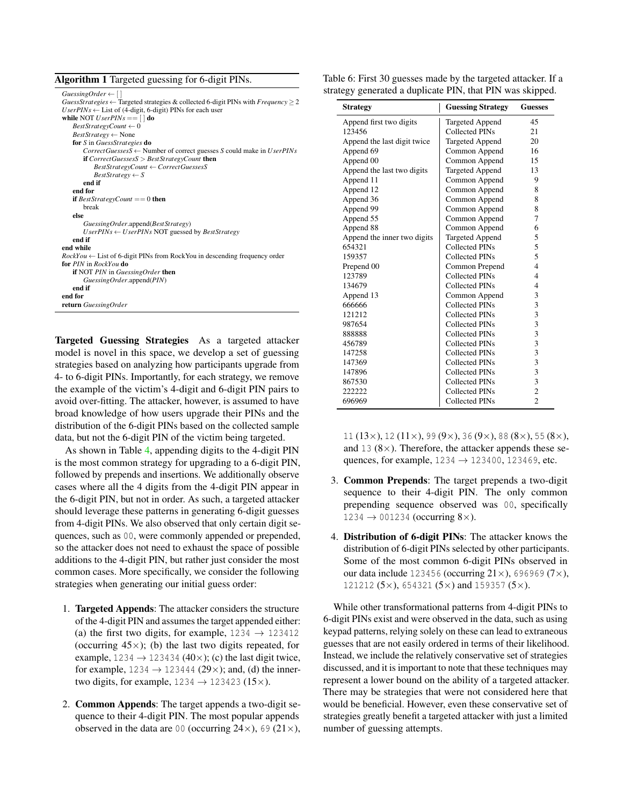<span id="page-9-0"></span>

| Algorithm 1 Targeted guessing for 6-digit PINs. |  |  |  |
|-------------------------------------------------|--|--|--|
|                                                 |  |  |  |

| $GuessingOrder \leftarrow [$                                                                                    |
|-----------------------------------------------------------------------------------------------------------------|
| <i>GuessStrategies</i> $\leftarrow$ Targeted strategies & collected 6-digit PINs with <i>Frequency</i> $\geq$ 2 |
| $UserPINs \leftarrow List$ of (4-digit, 6-digit) PINs for each user                                             |
| while NOT <i>UserPINs</i> == $\lceil \cdot \rceil$ do                                                           |
| $BestStrategyCount \leftarrow 0$                                                                                |
| $BestStrategy \leftarrow None$                                                                                  |
| for S in GuessStrategies do                                                                                     |
| $CorrectGuessesS \leftarrow$ Number of correct guesses S could make in UserPINs                                 |
| <b>if</b> Correct Guesses $S > BestStrategyCount$ then                                                          |
| $BestStrategyCount \leftarrow CorrectGuessesS$                                                                  |
| $BestStrategy \leftarrow S$                                                                                     |
| end if                                                                                                          |
| end for                                                                                                         |
| <b>if</b> BestStrategyCount == 0 <b>then</b>                                                                    |
| break                                                                                                           |
| else                                                                                                            |
| Guessing Order.append(Best Strategy)                                                                            |
| $UserPINs \leftarrow UserPINs NOT$ guessed by BestStrategy                                                      |
| end if                                                                                                          |
| end while                                                                                                       |
| $RockYou \leftarrow$ List of 6-digit PINs from RockYou in descending frequency order                            |
| for PIN in RockYou do                                                                                           |
| <b>if</b> NOT PIN in GuessingOrder then                                                                         |
| GuessingOrder.append(PIN)                                                                                       |
| end if                                                                                                          |
| end for                                                                                                         |
| return GuessingOrder                                                                                            |
|                                                                                                                 |

Targeted Guessing Strategies As a targeted attacker model is novel in this space, we develop a set of guessing strategies based on analyzing how participants upgrade from 4- to 6-digit PINs. Importantly, for each strategy, we remove the example of the victim's 4-digit and 6-digit PIN pairs to avoid over-fitting. The attacker, however, is assumed to have broad knowledge of how users upgrade their PINs and the distribution of the 6-digit PINs based on the collected sample data, but not the 6-digit PIN of the victim being targeted.

As shown in Table [4,](#page-6-0) appending digits to the 4-digit PIN is the most common strategy for upgrading to a 6-digit PIN, followed by prepends and insertions. We additionally observe cases where all the 4 digits from the 4-digit PIN appear in the 6-digit PIN, but not in order. As such, a targeted attacker should leverage these patterns in generating 6-digit guesses from 4-digit PINs. We also observed that only certain digit sequences, such as 00, were commonly appended or prepended, so the attacker does not need to exhaust the space of possible additions to the 4-digit PIN, but rather just consider the most common cases. More specifically, we consider the following strategies when generating our initial guess order:

- 1. Targeted Appends: The attacker considers the structure of the 4-digit PIN and assumes the target appended either: (a) the first two digits, for example,  $1234 \rightarrow 123412$ (occurring  $45\times$ ); (b) the last two digits repeated, for example, 1234  $\rightarrow$  123434 (40×); (c) the last digit twice, for example,  $1234 \rightarrow 123444$  (29×); and, (d) the innertwo digits, for example,  $1234 \rightarrow 123423$  (15 $\times$ ).
- 2. Common Appends: The target appends a two-digit sequence to their 4-digit PIN. The most popular appends observed in the data are 00 (occurring  $24\times$ ), 69 ( $21\times$ ),

<span id="page-9-1"></span>

| Table 6: First 30 guesses made by the targeted attacker. If a |  |
|---------------------------------------------------------------|--|
| strategy generated a duplicate PIN, that PIN was skipped.     |  |

| <b>Strategy</b>             | <b>Guessing Strategy</b> | <b>Guesses</b> |
|-----------------------------|--------------------------|----------------|
| Append first two digits     | Targeted Append          | 45             |
| 123456                      | Collected PINs           | 21             |
| Append the last digit twice | <b>Targeted Append</b>   | 20             |
| Append 69                   | Common Append            | 16             |
| Append 00                   | Common Append            | 15             |
| Append the last two digits  | <b>Targeted Append</b>   | 13             |
| Append 11                   | Common Append            | 9              |
| Append 12                   | Common Append            | 8              |
| Append 36                   | Common Append            | 8              |
| Append 99                   | Common Append            | 8              |
| Append 55                   | Common Append            | 7              |
| Append 88                   | Common Append            | 6              |
| Append the inner two digits | <b>Targeted Append</b>   | 5              |
| 654321                      | Collected PINs           | 5              |
| 159357                      | Collected PINs           | 5              |
| Prepend 00                  | Common Prepend           | $\overline{4}$ |
| 123789                      | Collected PINs           | $\overline{4}$ |
| 134679                      | <b>Collected PINs</b>    | $\overline{4}$ |
| Append 13                   | Common Append            | 3              |
| 666666                      | Collected PINs           | 3              |
| 121212                      | Collected PINs           | 3              |
| 987654                      | Collected PINs           | 3              |
| 888888                      | Collected PINs           | 3              |
| 456789                      | Collected PINs           | 3              |
| 147258                      | Collected PINs           | 3              |
| 147369                      | Collected PINs           | 3              |
| 147896                      | Collected PINs           | 3              |
| 867530                      | <b>Collected PINs</b>    | 3              |
| 222222                      | <b>Collected PINs</b>    | $\overline{c}$ |
| 696969                      | <b>Collected PINs</b>    | $\overline{2}$ |

11 (13×), 12 (11×), 99 (9×), 36 (9×), 88 (8×), 55 (8×), and 13  $(8 \times)$ . Therefore, the attacker appends these sequences, for example,  $1234 \rightarrow 123400$ ,  $123469$ , etc.

- 3. Common Prepends: The target prepends a two-digit sequence to their 4-digit PIN. The only common prepending sequence observed was 00, specifically  $1234 \rightarrow 001234$  (occurring 8×).
- 4. Distribution of 6-digit PINs: The attacker knows the distribution of 6-digit PINs selected by other participants. Some of the most common 6-digit PINs observed in our data include 123456 (occurring  $21 \times$ ), 696969 (7 $\times$ ), 121212 (5 $\times$ ), 654321 (5 $\times$ ) and 159357 (5 $\times$ ).

While other transformational patterns from 4-digit PINs to 6-digit PINs exist and were observed in the data, such as using keypad patterns, relying solely on these can lead to extraneous guesses that are not easily ordered in terms of their likelihood. Instead, we include the relatively conservative set of strategies discussed, and it is important to note that these techniques may represent a lower bound on the ability of a targeted attacker. There may be strategies that were not considered here that would be beneficial. However, even these conservative set of strategies greatly benefit a targeted attacker with just a limited number of guessing attempts.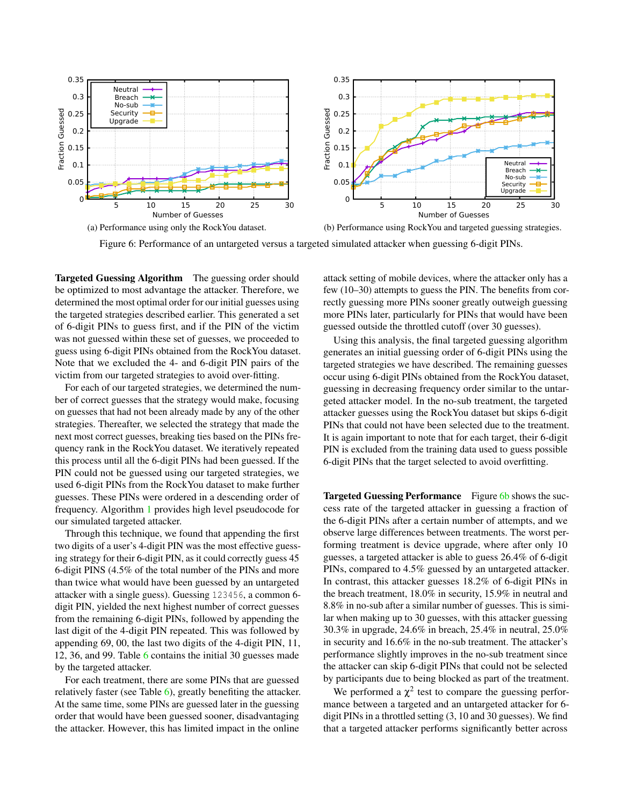<span id="page-10-0"></span>

Figure 6: Performance of an untargeted versus a targeted simulated attacker when guessing 6-digit PINs.

Targeted Guessing Algorithm The guessing order should be optimized to most advantage the attacker. Therefore, we determined the most optimal order for our initial guesses using the targeted strategies described earlier. This generated a set of 6-digit PINs to guess first, and if the PIN of the victim was not guessed within these set of guesses, we proceeded to guess using 6-digit PINs obtained from the RockYou dataset. Note that we excluded the 4- and 6-digit PIN pairs of the victim from our targeted strategies to avoid over-fitting.

For each of our targeted strategies, we determined the number of correct guesses that the strategy would make, focusing on guesses that had not been already made by any of the other strategies. Thereafter, we selected the strategy that made the next most correct guesses, breaking ties based on the PINs frequency rank in the RockYou dataset. We iteratively repeated this process until all the 6-digit PINs had been guessed. If the PIN could not be guessed using our targeted strategies, we used 6-digit PINs from the RockYou dataset to make further guesses. These PINs were ordered in a descending order of frequency. Algorithm [1](#page-9-0) provides high level pseudocode for our simulated targeted attacker.

Through this technique, we found that appending the first two digits of a user's 4-digit PIN was the most effective guessing strategy for their 6-digit PIN, as it could correctly guess 45 6-digit PINS (4.5% of the total number of the PINs and more than twice what would have been guessed by an untargeted attacker with a single guess). Guessing 123456, a common 6 digit PIN, yielded the next highest number of correct guesses from the remaining 6-digit PINs, followed by appending the last digit of the 4-digit PIN repeated. This was followed by appending 69, 00, the last two digits of the 4-digit PIN, 11, 12, 36, and 99. Table [6](#page-9-1) contains the initial 30 guesses made by the targeted attacker.

For each treatment, there are some PINs that are guessed relatively faster (see Table [6\)](#page-9-1), greatly benefiting the attacker. At the same time, some PINs are guessed later in the guessing order that would have been guessed sooner, disadvantaging the attacker. However, this has limited impact in the online

attack setting of mobile devices, where the attacker only has a few (10–30) attempts to guess the PIN. The benefits from correctly guessing more PINs sooner greatly outweigh guessing more PINs later, particularly for PINs that would have been guessed outside the throttled cutoff (over 30 guesses).

Using this analysis, the final targeted guessing algorithm generates an initial guessing order of 6-digit PINs using the targeted strategies we have described. The remaining guesses occur using 6-digit PINs obtained from the RockYou dataset, guessing in decreasing frequency order similar to the untargeted attacker model. In the no-sub treatment, the targeted attacker guesses using the RockYou dataset but skips 6-digit PINs that could not have been selected due to the treatment. It is again important to note that for each target, their 6-digit PIN is excluded from the training data used to guess possible 6-digit PINs that the target selected to avoid overfitting.

Targeted Guessing Performance Figure [6b](#page-10-0) shows the success rate of the targeted attacker in guessing a fraction of the 6-digit PINs after a certain number of attempts, and we observe large differences between treatments. The worst performing treatment is device upgrade, where after only 10 guesses, a targeted attacker is able to guess 26.4% of 6-digit PINs, compared to 4.5% guessed by an untargeted attacker. In contrast, this attacker guesses 18.2% of 6-digit PINs in the breach treatment, 18.0% in security, 15.9% in neutral and 8.8% in no-sub after a similar number of guesses. This is similar when making up to 30 guesses, with this attacker guessing 30.3% in upgrade, 24.6% in breach, 25.4% in neutral, 25.0% in security and 16.6% in the no-sub treatment. The attacker's performance slightly improves in the no-sub treatment since the attacker can skip 6-digit PINs that could not be selected by participants due to being blocked as part of the treatment.

We performed a  $\chi^2$  test to compare the guessing performance between a targeted and an untargeted attacker for 6 digit PINs in a throttled setting (3, 10 and 30 guesses). We find that a targeted attacker performs significantly better across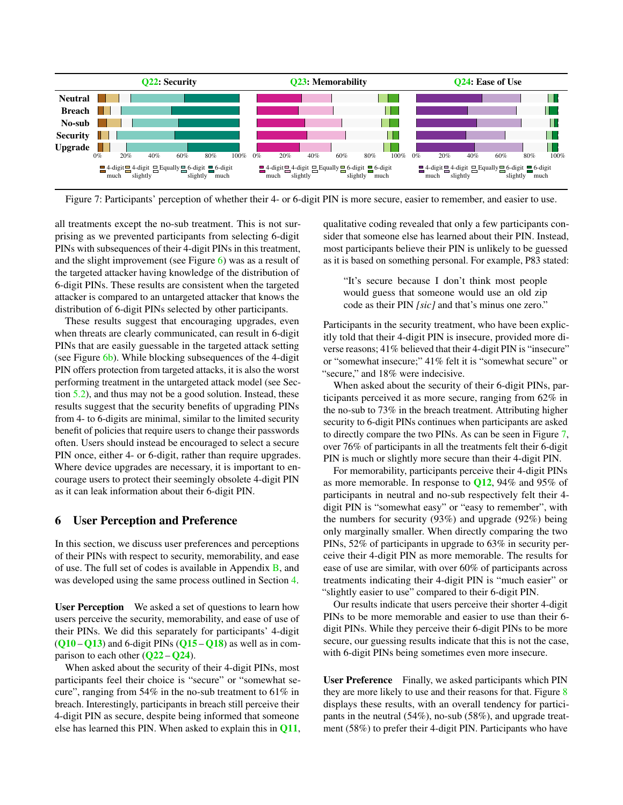<span id="page-11-0"></span>

Figure 7: Participants' perception of whether their 4- or 6-digit PIN is more secure, easier to remember, and easier to use.

all treatments except the no-sub treatment. This is not surprising as we prevented participants from selecting 6-digit PINs with subsequences of their 4-digit PINs in this treatment, and the slight improvement (see Figure [6\)](#page-10-0) was as a result of the targeted attacker having knowledge of the distribution of 6-digit PINs. These results are consistent when the targeted attacker is compared to an untargeted attacker that knows the distribution of 6-digit PINs selected by other participants.

These results suggest that encouraging upgrades, even when threats are clearly communicated, can result in 6-digit PINs that are easily guessable in the targeted attack setting (see Figure [6b\)](#page-10-0). While blocking subsequences of the 4-digit PIN offers protection from targeted attacks, it is also the worst performing treatment in the untargeted attack model (see Section [5.2\)](#page-6-2), and thus may not be a good solution. Instead, these results suggest that the security benefits of upgrading PINs from 4- to 6-digits are minimal, similar to the limited security benefit of policies that require users to change their passwords often. Users should instead be encouraged to select a secure PIN once, either 4- or 6-digit, rather than require upgrades. Where device upgrades are necessary, it is important to encourage users to protect their seemingly obsolete 4-digit PIN as it can leak information about their 6-digit PIN.

### 6 User Perception and Preference

In this section, we discuss user preferences and perceptions of their PINs with respect to security, memorability, and ease of use. The full set of codes is available in Appendix [B,](#page-17-3) and was developed using the same process outlined in Section [4.](#page-4-1)

User Perception We asked a set of questions to learn how users perceive the security, memorability, and ease of use of their PINs. We did this separately for participants' 4-digit  $(Q10 - Q13)$  $(Q10 - Q13)$  $(Q10 - Q13)$  $(Q10 - Q13)$  $(Q10 - Q13)$  and 6-digit PINs  $(Q15 - Q18)$  $(Q15 - Q18)$  $(Q15 - Q18)$  $(Q15 - Q18)$  $(Q15 - Q18)$  as well as in comparison to each other  $(Q22 - Q24)$  $(Q22 - Q24)$  $(Q22 - Q24)$  $(Q22 - Q24)$  $(Q22 - Q24)$ .

When asked about the security of their 4-digit PINs, most participants feel their choice is "secure" or "somewhat secure", ranging from 54% in the no-sub treatment to 61% in breach. Interestingly, participants in breach still perceive their 4-digit PIN as secure, despite being informed that someone else has learned this PIN. When asked to explain this in [Q11](#page-16-16), qualitative coding revealed that only a few participants consider that someone else has learned about their PIN. Instead, most participants believe their PIN is unlikely to be guessed as it is based on something personal. For example, P83 stated:

"It's secure because I don't think most people would guess that someone would use an old zip code as their PIN *[sic]* and that's minus one zero."

Participants in the security treatment, who have been explicitly told that their 4-digit PIN is insecure, provided more diverse reasons; 41% believed that their 4-digit PIN is "insecure" or "somewhat insecure;" 41% felt it is "somewhat secure" or "secure," and 18% were indecisive.

When asked about the security of their 6-digit PINs, participants perceived it as more secure, ranging from 62% in the no-sub to 73% in the breach treatment. Attributing higher security to 6-digit PINs continues when participants are asked to directly compare the two PINs. As can be seen in Figure [7,](#page-11-0) over 76% of participants in all the treatments felt their 6-digit PIN is much or slightly more secure than their 4-digit PIN.

For memorability, participants perceive their 4-digit PINs as more memorable. In response to  $Q12$ , 94% and 95% of participants in neutral and no-sub respectively felt their 4 digit PIN is "somewhat easy" or "easy to remember", with the numbers for security (93%) and upgrade (92%) being only marginally smaller. When directly comparing the two PINs, 52% of participants in upgrade to 63% in security perceive their 4-digit PIN as more memorable. The results for ease of use are similar, with over 60% of participants across treatments indicating their 4-digit PIN is "much easier" or "slightly easier to use" compared to their 6-digit PIN.

Our results indicate that users perceive their shorter 4-digit PINs to be more memorable and easier to use than their 6 digit PINs. While they perceive their 6-digit PINs to be more secure, our guessing results indicate that this is not the case, with 6-digit PINs being sometimes even more insecure.

User Preference Finally, we asked participants which PIN they are more likely to use and their reasons for that. Figure [8](#page-12-0) displays these results, with an overall tendency for participants in the neutral (54%), no-sub (58%), and upgrade treatment (58%) to prefer their 4-digit PIN. Participants who have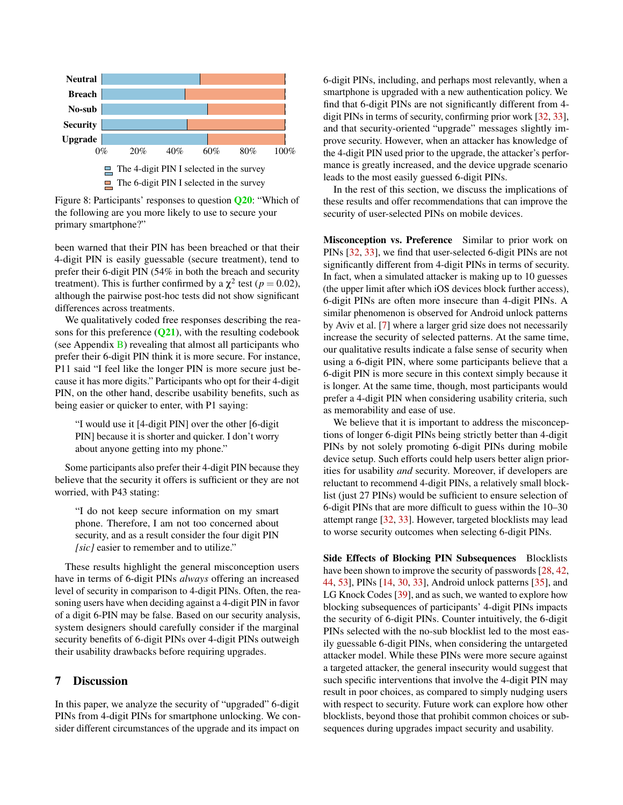<span id="page-12-0"></span>

Figure 8: Participants' responses to question [Q20](#page-16-15): "Which of the following are you more likely to use to secure your primary smartphone?"

been warned that their PIN has been breached or that their 4-digit PIN is easily guessable (secure treatment), tend to prefer their 6-digit PIN (54% in both the breach and security treatment). This is further confirmed by a  $\chi^2$  test ( $p = 0.02$ ), although the pairwise post-hoc tests did not show significant differences across treatments.

We qualitatively coded free responses describing the reasons for this preference  $(Q21)$  $(Q21)$  $(Q21)$ , with the resulting codebook (see Appendix [B\)](#page-17-3) revealing that almost all participants who prefer their 6-digit PIN think it is more secure. For instance, P11 said "I feel like the longer PIN is more secure just because it has more digits." Participants who opt for their 4-digit PIN, on the other hand, describe usability benefits, such as being easier or quicker to enter, with P1 saying:

"I would use it [4-digit PIN] over the other [6-digit PIN] because it is shorter and quicker. I don't worry about anyone getting into my phone."

Some participants also prefer their 4-digit PIN because they believe that the security it offers is sufficient or they are not worried, with P43 stating:

"I do not keep secure information on my smart phone. Therefore, I am not too concerned about security, and as a result consider the four digit PIN *[sic]* easier to remember and to utilize."

These results highlight the general misconception users have in terms of 6-digit PINs *always* offering an increased level of security in comparison to 4-digit PINs. Often, the reasoning users have when deciding against a 4-digit PIN in favor of a digit 6-PIN may be false. Based on our security analysis, system designers should carefully consider if the marginal security benefits of 6-digit PINs over 4-digit PINs outweigh their usability drawbacks before requiring upgrades.

### 7 Discussion

In this paper, we analyze the security of "upgraded" 6-digit PINs from 4-digit PINs for smartphone unlocking. We consider different circumstances of the upgrade and its impact on

6-digit PINs, including, and perhaps most relevantly, when a smartphone is upgraded with a new authentication policy. We find that 6-digit PINs are not significantly different from 4 digit PINs in terms of security, confirming prior work [\[32,](#page-14-0) [33\]](#page-15-5), and that security-oriented "upgrade" messages slightly improve security. However, when an attacker has knowledge of the 4-digit PIN used prior to the upgrade, the attacker's performance is greatly increased, and the device upgrade scenario leads to the most easily guessed 6-digit PINs.

In the rest of this section, we discuss the implications of these results and offer recommendations that can improve the security of user-selected PINs on mobile devices.

Misconception vs. Preference Similar to prior work on PINs [\[32,](#page-14-0) [33\]](#page-15-5), we find that user-selected 6-digit PINs are not significantly different from 4-digit PINs in terms of security. In fact, when a simulated attacker is making up to 10 guesses (the upper limit after which iOS devices block further access), 6-digit PINs are often more insecure than 4-digit PINs. A similar phenomenon is observed for Android unlock patterns by Aviv et al. [\[7\]](#page-13-0) where a larger grid size does not necessarily increase the security of selected patterns. At the same time, our qualitative results indicate a false sense of security when using a 6-digit PIN, where some participants believe that a 6-digit PIN is more secure in this context simply because it is longer. At the same time, though, most participants would prefer a 4-digit PIN when considering usability criteria, such as memorability and ease of use.

We believe that it is important to address the misconceptions of longer 6-digit PINs being strictly better than 4-digit PINs by not solely promoting 6-digit PINs during mobile device setup. Such efforts could help users better align priorities for usability *and* security. Moreover, if developers are reluctant to recommend 4-digit PINs, a relatively small blocklist (just 27 PINs) would be sufficient to ensure selection of 6-digit PINs that are more difficult to guess within the 10–30 attempt range [\[32,](#page-14-0) [33\]](#page-15-5). However, targeted blocklists may lead to worse security outcomes when selecting 6-digit PINs.

Side Effects of Blocking PIN Subsequences Blocklists have been shown to improve the security of passwords  $[28, 42, 42]$  $[28, 42, 42]$  $[28, 42, 42]$  $[28, 42, 42]$ [44,](#page-15-20) [53\]](#page-15-21), PINs [\[14,](#page-14-1) [30,](#page-14-15) [33\]](#page-15-5), Android unlock patterns [\[35\]](#page-15-0), and LG Knock Codes [\[39\]](#page-15-1), and as such, we wanted to explore how blocking subsequences of participants' 4-digit PINs impacts the security of 6-digit PINs. Counter intuitively, the 6-digit PINs selected with the no-sub blocklist led to the most easily guessable 6-digit PINs, when considering the untargeted attacker model. While these PINs were more secure against a targeted attacker, the general insecurity would suggest that such specific interventions that involve the 4-digit PIN may result in poor choices, as compared to simply nudging users with respect to security. Future work can explore how other blocklists, beyond those that prohibit common choices or subsequences during upgrades impact security and usability.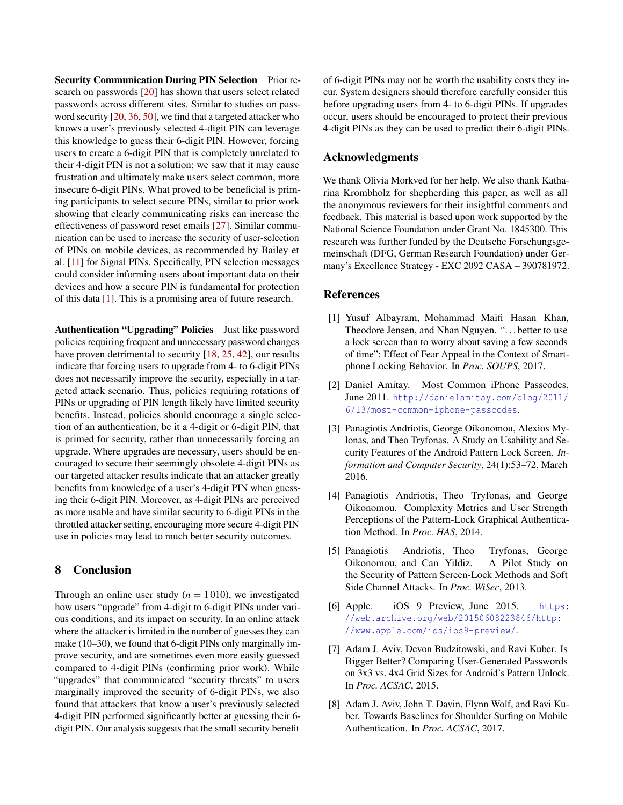Security Communication During PIN Selection Prior research on passwords [\[20\]](#page-14-16) has shown that users select related passwords across different sites. Similar to studies on password security [\[20,](#page-14-16) [36,](#page-15-14) [50\]](#page-15-15), we find that a targeted attacker who knows a user's previously selected 4-digit PIN can leverage this knowledge to guess their 6-digit PIN. However, forcing users to create a 6-digit PIN that is completely unrelated to their 4-digit PIN is not a solution; we saw that it may cause frustration and ultimately make users select common, more insecure 6-digit PINs. What proved to be beneficial is priming participants to select secure PINs, similar to prior work showing that clearly communicating risks can increase the effectiveness of password reset emails [\[27\]](#page-14-22). Similar communication can be used to increase the security of user-selection of PINs on mobile devices, as recommended by Bailey et al. [\[11\]](#page-14-23) for Signal PINs. Specifically, PIN selection messages could consider informing users about important data on their devices and how a secure PIN is fundamental for protection of this data [\[1\]](#page-13-7). This is a promising area of future research.

Authentication "Upgrading" Policies Just like password policies requiring frequent and unnecessary password changes have proven detrimental to security [\[18,](#page-14-5) [25,](#page-14-6) [42\]](#page-15-19), our results indicate that forcing users to upgrade from 4- to 6-digit PINs does not necessarily improve the security, especially in a targeted attack scenario. Thus, policies requiring rotations of PINs or upgrading of PIN length likely have limited security benefits. Instead, policies should encourage a single selection of an authentication, be it a 4-digit or 6-digit PIN, that is primed for security, rather than unnecessarily forcing an upgrade. Where upgrades are necessary, users should be encouraged to secure their seemingly obsolete 4-digit PINs as our targeted attacker results indicate that an attacker greatly benefits from knowledge of a user's 4-digit PIN when guessing their 6-digit PIN. Moreover, as 4-digit PINs are perceived as more usable and have similar security to 6-digit PINs in the throttled attacker setting, encouraging more secure 4-digit PIN use in policies may lead to much better security outcomes.

## 8 Conclusion

Through an online user study  $(n = 1010)$ , we investigated how users "upgrade" from 4-digit to 6-digit PINs under various conditions, and its impact on security. In an online attack where the attacker is limited in the number of guesses they can make (10–30), we found that 6-digit PINs only marginally improve security, and are sometimes even more easily guessed compared to 4-digit PINs (confirming prior work). While "upgrades" that communicated "security threats" to users marginally improved the security of 6-digit PINs, we also found that attackers that know a user's previously selected 4-digit PIN performed significantly better at guessing their 6 digit PIN. Our analysis suggests that the small security benefit

of 6-digit PINs may not be worth the usability costs they incur. System designers should therefore carefully consider this before upgrading users from 4- to 6-digit PINs. If upgrades occur, users should be encouraged to protect their previous 4-digit PINs as they can be used to predict their 6-digit PINs.

### Acknowledgments

We thank Olivia Morkved for her help. We also thank Katharina Krombholz for shepherding this paper, as well as all the anonymous reviewers for their insightful comments and feedback. This material is based upon work supported by the National Science Foundation under Grant No. 1845300. This research was further funded by the Deutsche Forschungsgemeinschaft (DFG, German Research Foundation) under Germany's Excellence Strategy - EXC 2092 CASA – 390781972.

### References

- <span id="page-13-7"></span>[1] Yusuf Albayram, Mohammad Maifi Hasan Khan, Theodore Jensen, and Nhan Nguyen. ". . . better to use a lock screen than to worry about saving a few seconds of time": Effect of Fear Appeal in the Context of Smartphone Locking Behavior. In *Proc. SOUPS*, 2017.
- <span id="page-13-6"></span>[2] Daniel Amitay. Most Common iPhone Passcodes, June 2011. [http://danielamitay.com/blog/2011/](http://danielamitay.com/blog/2011/6/13/most-common-iphone-passcodes) [6/13/most-common-iphone-passcodes](http://danielamitay.com/blog/2011/6/13/most-common-iphone-passcodes).
- <span id="page-13-5"></span>[3] Panagiotis Andriotis, George Oikonomou, Alexios Mylonas, and Theo Tryfonas. A Study on Usability and Security Features of the Android Pattern Lock Screen. *Information and Computer Security*, 24(1):53–72, March 2016.
- <span id="page-13-2"></span>[4] Panagiotis Andriotis, Theo Tryfonas, and George Oikonomou. Complexity Metrics and User Strength Perceptions of the Pattern-Lock Graphical Authentication Method. In *Proc. HAS*, 2014.
- <span id="page-13-3"></span>[5] Panagiotis Andriotis, Theo Tryfonas, George Oikonomou, and Can Yildiz. A Pilot Study on the Security of Pattern Screen-Lock Methods and Soft Side Channel Attacks. In *Proc. WiSec*, 2013.
- <span id="page-13-1"></span>[6] Apple. iOS 9 Preview, June 2015. [https:](https://web.archive.org/web/20150608223846/http://www.apple.com/ios/ios9-preview/) [//web.archive.org/web/20150608223846/http:](https://web.archive.org/web/20150608223846/http://www.apple.com/ios/ios9-preview/) [//www.apple.com/ios/ios9-preview/](https://web.archive.org/web/20150608223846/http://www.apple.com/ios/ios9-preview/).
- <span id="page-13-0"></span>[7] Adam J. Aviv, Devon Budzitowski, and Ravi Kuber. Is Bigger Better? Comparing User-Generated Passwords on 3x3 vs. 4x4 Grid Sizes for Android's Pattern Unlock. In *Proc. ACSAC*, 2015.
- <span id="page-13-4"></span>[8] Adam J. Aviv, John T. Davin, Flynn Wolf, and Ravi Kuber. Towards Baselines for Shoulder Surfing on Mobile Authentication. In *Proc. ACSAC*, 2017.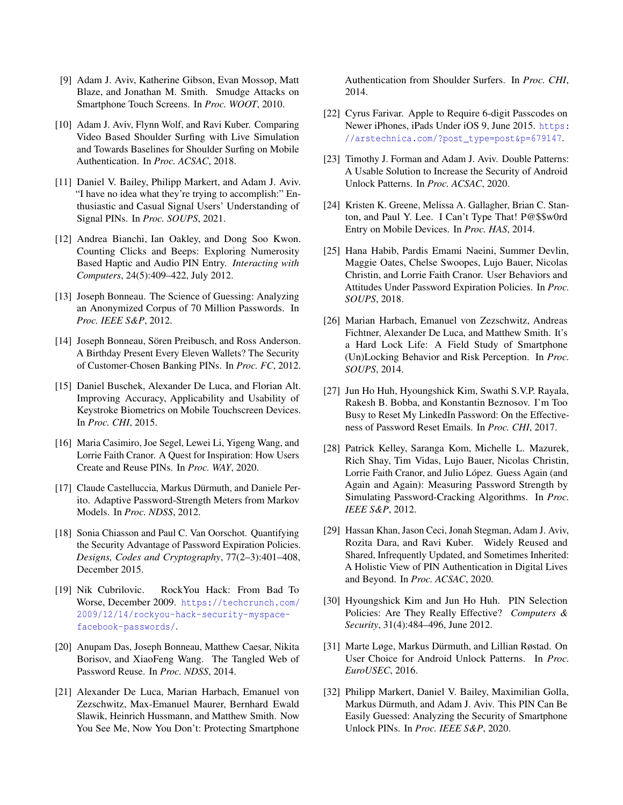- <span id="page-14-7"></span>[9] Adam J. Aviv, Katherine Gibson, Evan Mossop, Matt Blaze, and Jonathan M. Smith. Smudge Attacks on Smartphone Touch Screens. In *Proc. WOOT*, 2010.
- <span id="page-14-8"></span>[10] Adam J. Aviv, Flynn Wolf, and Ravi Kuber. Comparing Video Based Shoulder Surfing with Live Simulation and Towards Baselines for Shoulder Surfing on Mobile Authentication. In *Proc. ACSAC*, 2018.
- <span id="page-14-23"></span>[11] Daniel V. Bailey, Philipp Markert, and Adam J. Aviv. "I have no idea what they're trying to accomplish:" Enthusiastic and Casual Signal Users' Understanding of Signal PINs. In *Proc. SOUPS*, 2021.
- <span id="page-14-13"></span>[12] Andrea Bianchi, Ian Oakley, and Dong Soo Kwon. Counting Clicks and Beeps: Exploring Numerosity Based Haptic and Audio PIN Entry. *Interacting with Computers*, 24(5):409–422, July 2012.
- <span id="page-14-3"></span>[13] Joseph Bonneau. The Science of Guessing: Analyzing an Anonymized Corpus of 70 Million Passwords. In *Proc. IEEE S&P*, 2012.
- <span id="page-14-1"></span>[14] Joseph Bonneau, Sören Preibusch, and Ross Anderson. A Birthday Present Every Eleven Wallets? The Security of Customer-Chosen Banking PINs. In *Proc. FC*, 2012.
- <span id="page-14-14"></span>[15] Daniel Buschek, Alexander De Luca, and Florian Alt. Improving Accuracy, Applicability and Usability of Keystroke Biometrics on Mobile Touchscreen Devices. In *Proc. CHI*, 2015.
- <span id="page-14-11"></span>[16] Maria Casimiro, Joe Segel, Lewei Li, Yigeng Wang, and Lorrie Faith Cranor. A Quest for Inspiration: How Users Create and Reuse PINs. In *Proc. WAY*, 2020.
- <span id="page-14-20"></span>[17] Claude Castelluccia, Markus Dürmuth, and Daniele Perito. Adaptive Password-Strength Meters from Markov Models. In *Proc. NDSS*, 2012.
- <span id="page-14-5"></span>[18] Sonia Chiasson and Paul C. Van Oorschot. Quantifying the Security Advantage of Password Expiration Policies. *Designs, Codes and Cryptography*, 77(2–3):401–408, December 2015.
- <span id="page-14-19"></span>[19] Nik Cubrilovic. RockYou Hack: From Bad To Worse, December 2009. [https://techcrunch.com/](https://techcrunch.com/2009/12/14/rockyou-hack-security-myspace-facebook-passwords/) [2009/12/14/rockyou-hack-security-myspace](https://techcrunch.com/2009/12/14/rockyou-hack-security-myspace-facebook-passwords/)[facebook-passwords/](https://techcrunch.com/2009/12/14/rockyou-hack-security-myspace-facebook-passwords/).
- <span id="page-14-16"></span>[20] Anupam Das, Joseph Bonneau, Matthew Caesar, Nikita Borisov, and XiaoFeng Wang. The Tangled Web of Password Reuse. In *Proc. NDSS*, 2014.
- <span id="page-14-9"></span>[21] Alexander De Luca, Marian Harbach, Emanuel von Zezschwitz, Max-Emanuel Maurer, Bernhard Ewald Slawik, Heinrich Hussmann, and Matthew Smith. Now You See Me, Now You Don't: Protecting Smartphone

Authentication from Shoulder Surfers. In *Proc. CHI*, 2014.

- <span id="page-14-2"></span>[22] Cyrus Farivar. Apple to Require 6-digit Passcodes on Newer iPhones, iPads Under iOS 9, June 2015. [https:](https://arstechnica.com/?post_type=post&p=679147) [//arstechnica.com/?post\\_type=post&p=679147](https://arstechnica.com/?post_type=post&p=679147).
- <span id="page-14-4"></span>[23] Timothy J. Forman and Adam J. Aviv. Double Patterns: A Usable Solution to Increase the Security of Android Unlock Patterns. In *Proc. ACSAC*, 2020.
- <span id="page-14-12"></span>[24] Kristen K. Greene, Melissa A. Gallagher, Brian C. Stanton, and Paul Y. Lee. I Can't Type That! P@\$\$w0rd Entry on Mobile Devices. In *Proc. HAS*, 2014.
- <span id="page-14-6"></span>[25] Hana Habib, Pardis Emami Naeini, Summer Devlin, Maggie Oates, Chelse Swoopes, Lujo Bauer, Nicolas Christin, and Lorrie Faith Cranor. User Behaviors and Attitudes Under Password Expiration Policies. In *Proc. SOUPS*, 2018.
- <span id="page-14-17"></span>[26] Marian Harbach, Emanuel von Zezschwitz, Andreas Fichtner, Alexander De Luca, and Matthew Smith. It's a Hard Lock Life: A Field Study of Smartphone (Un)Locking Behavior and Risk Perception. In *Proc. SOUPS*, 2014.
- <span id="page-14-22"></span>[27] Jun Ho Huh, Hyoungshick Kim, Swathi S.V.P. Rayala, Rakesh B. Bobba, and Konstantin Beznosov. I'm Too Busy to Reset My LinkedIn Password: On the Effectiveness of Password Reset Emails. In *Proc. CHI*, 2017.
- <span id="page-14-21"></span>[28] Patrick Kelley, Saranga Kom, Michelle L. Mazurek, Rich Shay, Tim Vidas, Lujo Bauer, Nicolas Christin, Lorrie Faith Cranor, and Julio López. Guess Again (and Again and Again): Measuring Password Strength by Simulating Password-Cracking Algorithms. In *Proc. IEEE S&P*, 2012.
- <span id="page-14-18"></span>[29] Hassan Khan, Jason Ceci, Jonah Stegman, Adam J. Aviv, Rozita Dara, and Ravi Kuber. Widely Reused and Shared, Infrequently Updated, and Sometimes Inherited: A Holistic View of PIN Authentication in Digital Lives and Beyond. In *Proc. ACSAC*, 2020.
- <span id="page-14-15"></span>[30] Hyoungshick Kim and Jun Ho Huh. PIN Selection Policies: Are They Really Effective? *Computers & Security*, 31(4):484–496, June 2012.
- <span id="page-14-10"></span>[31] Marte Løge, Markus Dürmuth, and Lillian Røstad. On User Choice for Android Unlock Patterns. In *Proc. EuroUSEC*, 2016.
- <span id="page-14-0"></span>[32] Philipp Markert, Daniel V. Bailey, Maximilian Golla, Markus Dürmuth, and Adam J. Aviv. This PIN Can Be Easily Guessed: Analyzing the Security of Smartphone Unlock PINs. In *Proc. IEEE S&P*, 2020.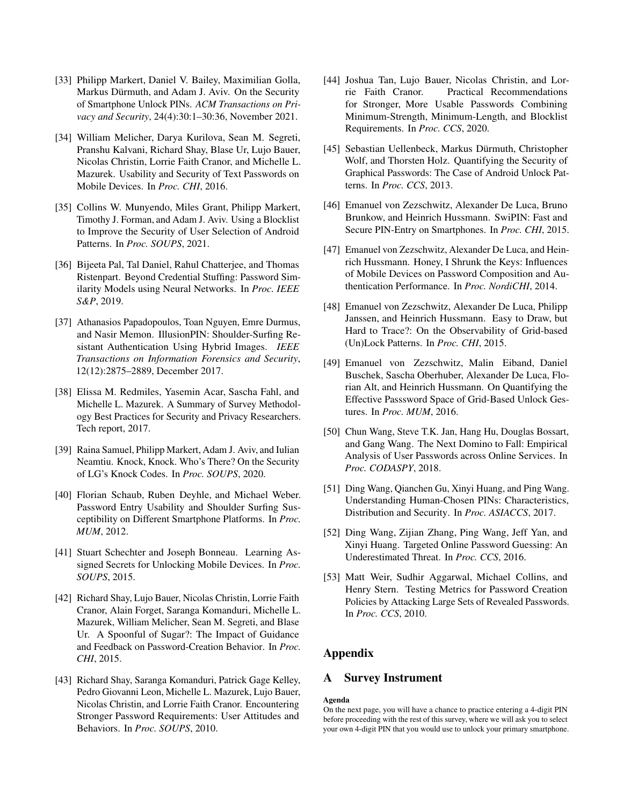- <span id="page-15-5"></span>[33] Philipp Markert, Daniel V. Bailey, Maximilian Golla, Markus Dürmuth, and Adam J. Aviv. On the Security of Smartphone Unlock PINs. *ACM Transactions on Privacy and Security*, 24(4):30:1–30:36, November 2021.
- <span id="page-15-2"></span>[34] William Melicher, Darya Kurilova, Sean M. Segreti, Pranshu Kalvani, Richard Shay, Blase Ur, Lujo Bauer, Nicolas Christin, Lorrie Faith Cranor, and Michelle L. Mazurek. Usability and Security of Text Passwords on Mobile Devices. In *Proc. CHI*, 2016.
- <span id="page-15-0"></span>[35] Collins W. Munyendo, Miles Grant, Philipp Markert, Timothy J. Forman, and Adam J. Aviv. Using a Blocklist to Improve the Security of User Selection of Android Patterns. In *Proc. SOUPS*, 2021.
- <span id="page-15-14"></span>[36] Bijeeta Pal, Tal Daniel, Rahul Chatterjee, and Thomas Ristenpart. Beyond Credential Stuffing: Password Similarity Models using Neural Networks. In *Proc. IEEE S&P*, 2019.
- <span id="page-15-12"></span>[37] Athanasios Papadopoulos, Toan Nguyen, Emre Durmus, and Nasir Memon. IllusionPIN: Shoulder-Surfing Resistant Authentication Using Hybrid Images. *IEEE Transactions on Information Forensics and Security*, 12(12):2875–2889, December 2017.
- <span id="page-15-18"></span>[38] Elissa M. Redmiles, Yasemin Acar, Sascha Fahl, and Michelle L. Mazurek. A Summary of Survey Methodology Best Practices for Security and Privacy Researchers. Tech report, 2017.
- <span id="page-15-1"></span>[39] Raina Samuel, Philipp Markert, Adam J. Aviv, and Iulian Neamtiu. Knock, Knock. Who's There? On the Security of LG's Knock Codes. In *Proc. SOUPS*, 2020.
- <span id="page-15-3"></span>[40] Florian Schaub, Ruben Deyhle, and Michael Weber. Password Entry Usability and Shoulder Surfing Susceptibility on Different Smartphone Platforms. In *Proc. MUM*, 2012.
- <span id="page-15-11"></span>[41] Stuart Schechter and Joseph Bonneau. Learning Assigned Secrets for Unlocking Mobile Devices. In *Proc. SOUPS*, 2015.
- <span id="page-15-19"></span>[42] Richard Shay, Lujo Bauer, Nicolas Christin, Lorrie Faith Cranor, Alain Forget, Saranga Komanduri, Michelle L. Mazurek, William Melicher, Sean M. Segreti, and Blase Ur. A Spoonful of Sugar?: The Impact of Guidance and Feedback on Password-Creation Behavior. In *Proc. CHI*, 2015.
- <span id="page-15-6"></span>[43] Richard Shay, Saranga Komanduri, Patrick Gage Kelley, Pedro Giovanni Leon, Michelle L. Mazurek, Lujo Bauer, Nicolas Christin, and Lorrie Faith Cranor. Encountering Stronger Password Requirements: User Attitudes and Behaviors. In *Proc. SOUPS*, 2010.
- <span id="page-15-20"></span>[44] Joshua Tan, Lujo Bauer, Nicolas Christin, and Lorrie Faith Cranor. Practical Recommendations for Stronger, More Usable Passwords Combining Minimum-Strength, Minimum-Length, and Blocklist Requirements. In *Proc. CCS*, 2020.
- <span id="page-15-7"></span>[45] Sebastian Uellenbeck, Markus Dürmuth, Christopher Wolf, and Thorsten Holz. Quantifying the Security of Graphical Passwords: The Case of Android Unlock Patterns. In *Proc. CCS*, 2013.
- <span id="page-15-13"></span>[46] Emanuel von Zezschwitz, Alexander De Luca, Bruno Brunkow, and Heinrich Hussmann. SwiPIN: Fast and Secure PIN-Entry on Smartphones. In *Proc. CHI*, 2015.
- <span id="page-15-10"></span>[47] Emanuel von Zezschwitz, Alexander De Luca, and Heinrich Hussmann. Honey, I Shrunk the Keys: Influences of Mobile Devices on Password Composition and Authentication Performance. In *Proc. NordiCHI*, 2014.
- <span id="page-15-8"></span>[48] Emanuel von Zezschwitz, Alexander De Luca, Philipp Janssen, and Heinrich Hussmann. Easy to Draw, but Hard to Trace?: On the Observability of Grid-based (Un)Lock Patterns. In *Proc. CHI*, 2015.
- <span id="page-15-9"></span>[49] Emanuel von Zezschwitz, Malin Eiband, Daniel Buschek, Sascha Oberhuber, Alexander De Luca, Florian Alt, and Heinrich Hussmann. On Quantifying the Effective Passsword Space of Grid-Based Unlock Gestures. In *Proc. MUM*, 2016.
- <span id="page-15-15"></span>[50] Chun Wang, Steve T.K. Jan, Hang Hu, Douglas Bossart, and Gang Wang. The Next Domino to Fall: Empirical Analysis of User Passwords across Online Services. In *Proc. CODASPY*, 2018.
- <span id="page-15-4"></span>[51] Ding Wang, Qianchen Gu, Xinyi Huang, and Ping Wang. Understanding Human-Chosen PINs: Characteristics, Distribution and Security. In *Proc. ASIACCS*, 2017.
- <span id="page-15-16"></span>[52] Ding Wang, Zijian Zhang, Ping Wang, Jeff Yan, and Xinyi Huang. Targeted Online Password Guessing: An Underestimated Threat. In *Proc. CCS*, 2016.
- <span id="page-15-21"></span>[53] Matt Weir, Sudhir Aggarwal, Michael Collins, and Henry Stern. Testing Metrics for Password Creation Policies by Attacking Large Sets of Revealed Passwords. In *Proc. CCS*, 2010.

# Appendix

### <span id="page-15-17"></span>A Survey Instrument

#### Agenda

On the next page, you will have a chance to practice entering a 4-digit PIN before proceeding with the rest of this survey, where we will ask you to select your own 4-digit PIN that you would use to unlock your primary smartphone.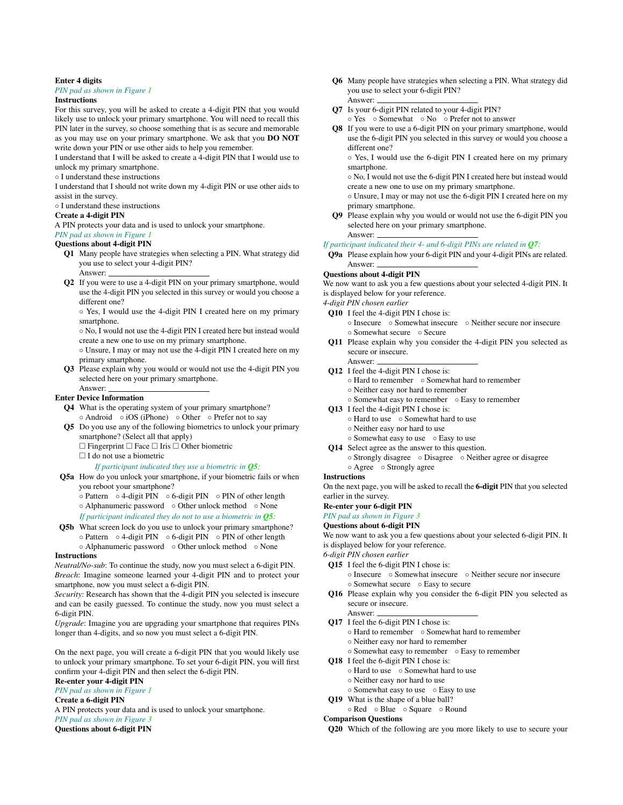#### Enter 4 digits

#### *PIN pad as shown in Figure [1](#page-3-0)*

### Instructions

For this survey, you will be asked to create a 4-digit PIN that you would likely use to unlock your primary smartphone. You will need to recall this PIN later in the survey, so choose something that is as secure and memorable as you may use on your primary smartphone. We ask that you DO NOT write down your PIN or use other aids to help you remember.

I understand that I will be asked to create a 4-digit PIN that I would use to unlock my primary smartphone.

#### ◦ I understand these instructions

I understand that I should not write down my 4-digit PIN or use other aids to assist in the survey.

#### ◦ I understand these instructions

#### Create a 4-digit PIN

A PIN protects your data and is used to unlock your smartphone.

#### *PIN pad as shown in Figure [1](#page-3-0)*

#### <span id="page-16-0"></span>Questions about 4-digit PIN

- Q1 Many people have strategies when selecting a PIN. What strategy did you use to select your 4-digit PIN? Answer:
- <span id="page-16-1"></span>Q2 If you were to use a 4-digit PIN on your primary smartphone, would use the 4-digit PIN you selected in this survey or would you choose a different one?
	- Yes, I would use the 4-digit PIN I created here on my primary smartphone.
	- No, I would not use the 4-digit PIN I created here but instead would create a new one to use on my primary smartphone.
	- Unsure, I may or may not use the 4-digit PIN I created here on my primary smartphone.
- <span id="page-16-2"></span>Q3 Please explain why you would or would not use the 4-digit PIN you selected here on your primary smartphone. Answer:

#### Enter Device Information

- <span id="page-16-3"></span>Q4 What is the operating system of your primary smartphone? ◦ Android ◦ iOS (iPhone) ◦ Other ◦ Prefer not to say
- <span id="page-16-18"></span>Q5 Do you use any of the following biometrics to unlock your primary smartphone? (Select all that apply)
	- $\Box$  Fingerprint  $\Box$  Face  $\Box$  Iris  $\Box$  Other biometric
	- $\Box$  I do not use a biometric

#### *If participant indicated they use a biometric in [Q5](#page-16-18):*

- Q5a How do you unlock your smartphone, if your biometric fails or when you reboot your smartphone?
	- Pattern 4-digit PIN 6-digit PIN PIN of other length ◦ Alphanumeric password ◦ Other unlock method ◦ None
	- *If participant indicated they do not to use a biometric in [Q5](#page-16-18):*
- <span id="page-16-4"></span>Q5b What screen lock do you use to unlock your primary smartphone? ◦ Pattern ◦ 4-digit PIN ◦ 6-digit PIN ◦ PIN of other length ◦ Alphanumeric password ◦ Other unlock method ◦ None

#### Instructions

*Neutral/No-sub*: To continue the study, now you must select a 6-digit PIN. *Breach*: Imagine someone learned your 4-digit PIN and to protect your smartphone, now you must select a 6-digit PIN.

*Security*: Research has shown that the 4-digit PIN you selected is insecure and can be easily guessed. To continue the study, now you must select a 6-digit PIN.

*Upgrade*: Imagine you are upgrading your smartphone that requires PINs longer than 4-digits, and so now you must select a 6-digit PIN.

On the next page, you will create a 6-digit PIN that you would likely use to unlock your primary smartphone. To set your 6-digit PIN, you will first confirm your 4-digit PIN and then select the 6-digit PIN.

#### Re-enter your 4-digit PIN

*PIN pad as shown in Figure [1](#page-3-0)*

#### Create a 6-digit PIN

A PIN protects your data and is used to unlock your smartphone. *PIN pad as shown in Figure [3](#page-3-0)*

Questions about 6-digit PIN

- <span id="page-16-5"></span>Q6 Many people have strategies when selecting a PIN. What strategy did you use to select your 6-digit PIN?
- <span id="page-16-6"></span>Answer: Q7 Is your 6-digit PIN related to your 4-digit PIN?
	- Yes Somewhat No Prefer not to answer
- <span id="page-16-7"></span>Q8 If you were to use a 6-digit PIN on your primary smartphone, would use the 6-digit PIN you selected in this survey or would you choose a different one?

◦ Yes, I would use the 6-digit PIN I created here on my primary smartphone.

◦ No, I would not use the 6-digit PIN I created here but instead would create a new one to use on my primary smartphone.

- Unsure, I may or may not use the 6-digit PIN I created here on my primary smartphone.
- <span id="page-16-8"></span>Q9 Please explain why you would or would not use the 6-digit PIN you selected here on your primary smartphone. Answer:

#### *If participant indicated their 4- and 6-digit PINs are related in [Q7](#page-16-6):*

<span id="page-16-19"></span>Q9a Please explain how your 6-digit PIN and your 4-digit PINs are related. Answer:

#### Questions about 4-digit PIN

We now want to ask you a few questions about your selected 4-digit PIN. It is displayed below for your reference.

*4-digit PIN chosen earlier*

- <span id="page-16-9"></span>Q10 I feel the 4-digit PIN I chose is:
	- Insecure Somewhat insecure Neither secure nor insecure ◦ Somewhat secure ◦ Secure
- <span id="page-16-16"></span>Q11 Please explain why you consider the 4-digit PIN you selected as secure or insecure. Answer:
- <span id="page-16-17"></span>Q12 I feel the 4-digit PIN I chose is:
	- Hard to remember Somewhat hard to remember
	- Neither easy nor hard to remember
	- Somewhat easy to remember Easy to remember
- <span id="page-16-10"></span>Q13 I feel the 4-digit PIN I chose is:
	- Hard to use Somewhat hard to use
	- Neither easy nor hard to use
	- Somewhat easy to use Easy to use
- <span id="page-16-11"></span>Q14 Select agree as the answer to this question.
	- Strongly disagree Disagree Neither agree or disagree ◦ Agree ◦ Strongly agree

#### **Instructions**

On the next page, you will be asked to recall the 6-digit PIN that you selected earlier in the survey.

#### Re-enter your 6-digit PIN

*PIN pad as shown in Figure [3](#page-3-0)*

### Questions about 6-digit PIN

We now want to ask you a few questions about your selected 6-digit PIN. It is displayed below for your reference.

*6-digit PIN chosen earlier*

- <span id="page-16-12"></span>Q15 I feel the 6-digit PIN I chose is:
	- Insecure Somewhat insecure Neither secure nor insecure ◦ Somewhat secure ◦ Easy to secure
- <span id="page-16-20"></span>Q16 Please explain why you consider the 6-digit PIN you selected as secure or insecure.
- Answer: Q17 I feel the 6-digit PIN I chose is:
	- Hard to remember Somewhat hard to remember
	- Neither easy nor hard to remember
	- Somewhat easy to remember Easy to remember
- <span id="page-16-13"></span>Q18 I feel the 6-digit PIN I chose is:
	- Hard to use Somewhat hard to use
	- Neither easy nor hard to use
	- Somewhat easy to use Easy to use
- <span id="page-16-14"></span>Q19 What is the shape of a blue ball?
	- Red Blue Square Round

#### Comparison Questions

<span id="page-16-15"></span>Q20 Which of the following are you more likely to use to secure your